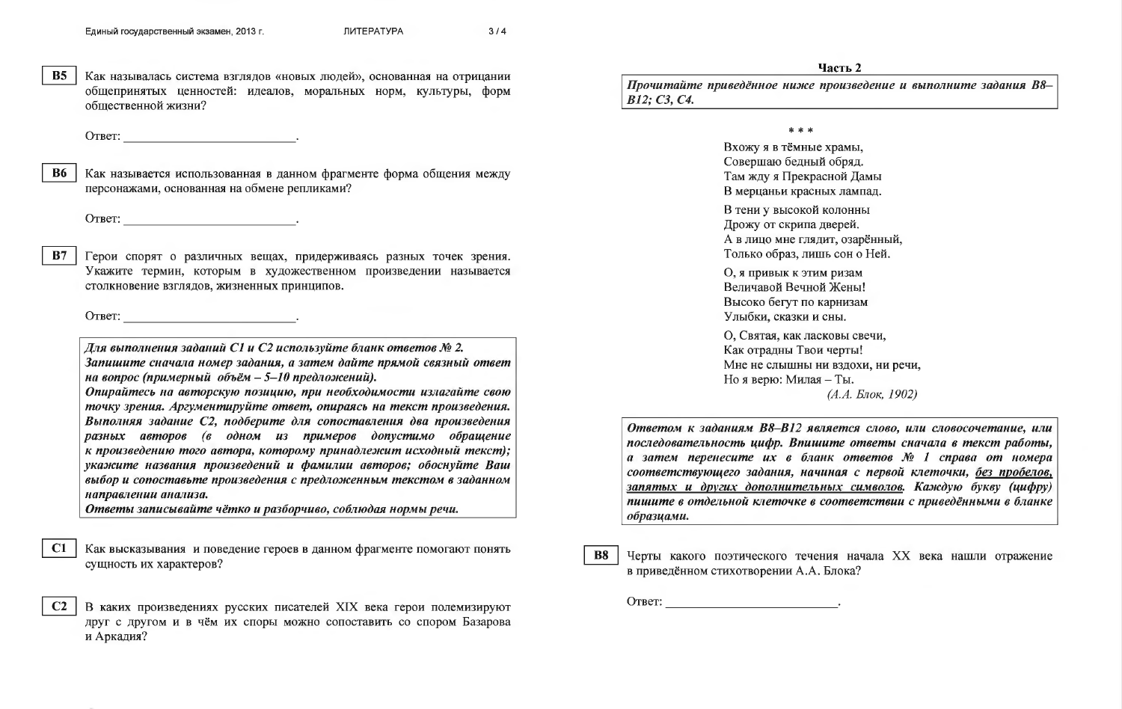Ответ: по последните село в село в село в село в село в село в село в село в село в село в село в село в село в

**B6** 

Как называется использованная в данном фрагменте форма общения между персонажами, основанная на обмене репликами?

 $B7$ Герои спорят о различных вещах, придерживаясь разных точек зрения. Укажите термин, которым в художественном произведении называется столкновение взглядов, жизненных принципов.

Ответ: При собствении с собствения с собствения с собствения с собствения с собствения с собствения с собствения с собствения с собствения с собствения с собствения с собствения с собствения с собствения с собствения с соб

Для выполнения заданий С1 и С2 используйте бланк ответов № 2. Запишите сначала номер задания, а затем дайте прямой связный ответ на вопрос (примерный объём - 5-10 предложений).

Опирайтесь на авторскую позицию, при необходимости излагайте свою точку зрения. Аргументируйте ответ, опираясь на текст произведения. Выполняя задание С2, подберите для сопоставления два произведения разных авторов (в одном из примеров допустимо обращение к произведению того автора, которому принадлежит исходный текст); укажите названия произведений и фамилии авторов; обоснуйте Ваш выбор и сопоставьте произведения с предложенным текстом в заданном направлении анализа.

Ответы записывайте чётко и разборчиво, соблюдая нормы речи.

Как высказывания и поведение героев в данном фрагменте помогают понять  $C1$ сущность их характеров?

 $C2$ В каких произведениях русских писателей XIX века герои полемизируют друг с другом и в чём их споры можно сопоставить со спором Базарова и Аркадия?

Прочитайте приведённое ниже произведение и выполните задания В8-B12; C3, C4.

\* \* \*

Вхожу я в тёмные храмы, Совершаю бедный обряд. Там жду я Прекрасной Дамы В мерцаньи красных лампад.

В тени у высокой колонны Дрожу от скрипа дверей. А в лицо мне глядит, озарённый, Только образ, лишь сон о Ней.

О, я привык к этим ризам Величавой Вечной Жены! Высоко бегут по карнизам Улыбки, сказки и сны.

О, Святая, как ласковы свечи, Как отрадны Твои черты! Мне не слышны ни вздохи, ни речи, Но я верю: Милая – Ты. (А.А. Блок, 1902)

Ответом к заданиям В8-В12 является слово, или словосочетание, или последовательность цифр. Впишите ответы сначала в текст работы, а затем перенесите их в бланк ответов № 1 справа от номера соответствующего задания, начиная с первой клеточки, без пробелов, запятых и других дополнительных символов. Каждую букву (шифру) пишите в отдельной клеточке в соответствии с приведёнными в бланке образиами.

Черты какого поэтического течения начала XX века нашли отражение **B8** в приведённом стихотворении А.А. Блока?

Ответ: на полно по себя в себя с после с себя с по себя с по себя с по себя с по себя с по себя с по себя с по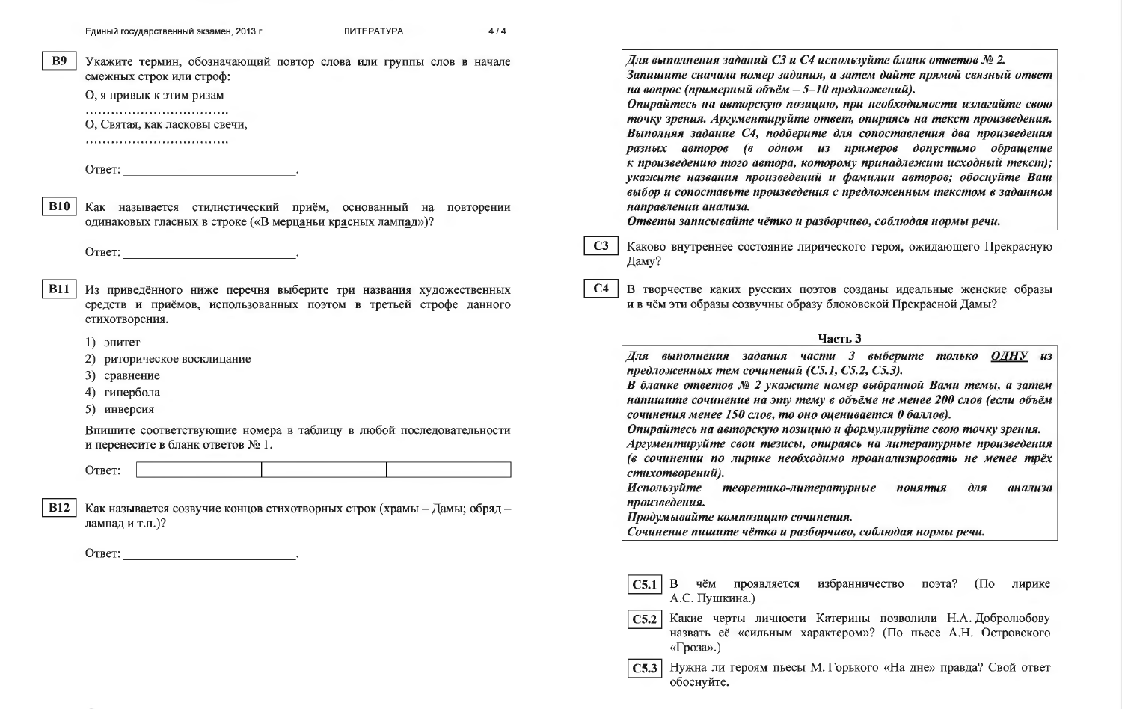**B9** 

**B10** 

**B12** 

 $4/4$ 

Укажите термин, обозначающий повтор слова или группы слов в начале смежных строк или строф: О, я привык к этим ризам О. Святая, как ласковы свечи. Ответ: Как называется стилистический приём, основанный на повторении направлении анализа. одинаковых гласных в строке («В мерцаньи красных лампад»)?  $C3$ Ответ: по после по после по после по после по после по после по после по после по после по после по после по п Даму? Из приведённого ниже перечня выберите три названия художественных  $B11$  $C4$ средств и приёмов, использованных поэтом в третьей строфе данного стихотворения.  $1)$  эпитет 2) риторическое восклицание 3) сравнение 4) гипербола 5) инверсия Впишите соответствующие номера в таблицу в любой последовательности и перенесите в бланк ответов № 1. OTReT: стихотворений). произведения. Как называется созвучие концов стихотворных строк (храмы - Дамы; обряд лампад и т.п.)?  $C5.2$ 

Для выполнения заданий СЗ и С4 используйте бланк ответов № 2. Запишите сначала номер задания, а затем дайте прямой связный ответ на вопрос (примерный объём - 5-10 предложений). Опирайтесь на авторскую позицию, при необходимости излагайте свою точку зрения. Аргументируйте ответ, опираясь на текст произведения. Выполняя задание С4, подберите для сопоставления два произведения разных авторов (в одном из примеров допустимо обращение к произведению того автора, которому принадлежит исходный текст); укажите названия произведений и фамилии авторов; обоснуйте Ваш выбор и сопоставьте произведения с предложенным текстом в заданном Ответы записывайте чётко и разборчиво, соблюдая нормы речи, Каково внутреннее состояние лирического героя, ожидающего Прекрасную

В творчестве каких русских поэтов созданы идеальные женские образы и в чём эти образы созвучны образу блоковской Прекрасной Дамы?

## Часть 3

Для выполнения задания части 3 выберите только ОДНУ из предложенных тем сочинений (С5.1, С5.2, С5.3).

В бланке ответов № 2 укажите номер выбранной Вами темы, а затем напишите сочинение на эту тему в объёме не менее 200 слов (если объём сочинения менее 150 слов, то оно оценивается 0 баллов).

Опирайтесь на авторскую позицию и формулируйте свою точку зрения.

Аргументируйте свои тезисы, опираясь на литературные произведения (в сочинении по лирике необходимо проанализировать не менее трёх

Используйте теоретико-литературные понятия  $\partial \mathcal{A} \mathcal{A}$ анализа

Продумывайте композицию сочинения.

Сочинение пишите чётко и разборчиво, соблюдая нормы речи.

 $|C5.1|B$  чём проявляется избранничество поэта? (По лирике А.С. Пушкина.)

Какие черты личности Катерины позволили Н.А. Добролюбову назвать её «сильным характером»? (По пьесе А.Н. Островского  $\langle \sqrt{\Gamma}$ posa».)

Нужна ли героям пьесы М. Горького «На дне» правда? Свой ответ  $C5.3$ обоснуйте.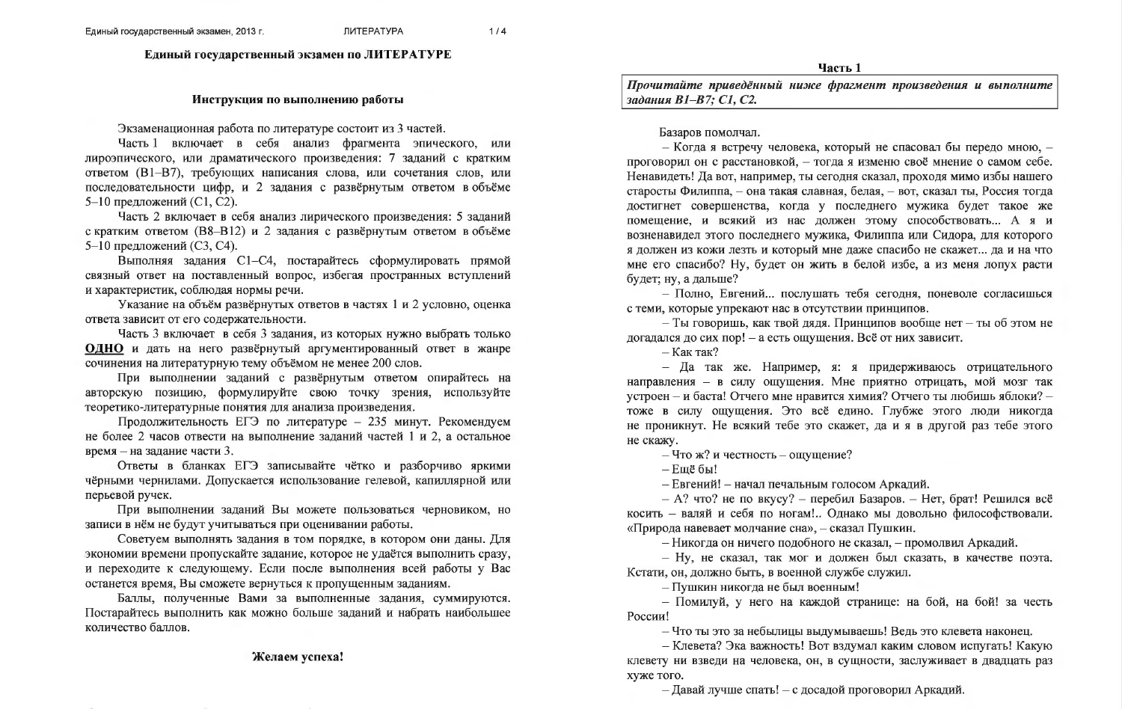#### Инструкция по выполнению работы

Экзаменационная работа по литературе состоит из 3 частей.

Часть 1 включает в себя анализ фрагмента эпического, или лироэпического, или драматического произведения: 7 заданий с кратким ответом (B1-B7), требующих написания слова, или сочетания слов, или последовательности цифр, и 2 задания с развёрнутым ответом в объёме 5-10 предложений (С1, С2).

Часть 2 включает в себя анализ лирического произвеления: 5 заланий с кратким ответом (В8-В12) и 2 задания с развёрнутым ответом в объёме 5-10 предложений (СЗ, С4).

Выполняя задания С1-С4, постарайтесь сформулировать прямой связный ответ на поставленный вопрос, избегая пространных вступлений и характеристик, соблюдая нормы речи.

Указание на объём развёрнутых ответов в частях 1 и 2 условно, оценка ответа зависит от его содержательности.

Часть 3 включает в себя 3 задания, из которых нужно выбрать только ОДНО и дать на него развёрнутый аргументированный ответ в жанре сочинения на литературную тему объёмом не менее 200 слов.

При выполнении заданий с развёрнутым ответом опирайтесь на авторскую позицию, формулируйте свою точку зрения, используйте теоретико-литературные понятия для анализа произведения.

Продолжительность ЕГЭ по литературе - 235 минут. Рекомендуем не более 2 часов отвести на выполнение заданий частей 1 и 2, а остальное время - на задание части 3.

Ответы в бланках ЕГЭ записывайте чётко и разборчиво яркими чёрными чернилами. Допускается использование гелевой, капиллярной или перьевой ручек.

При выполнении заданий Вы можете пользоваться черновиком, но записи в нём не будут учитываться при оценивании работы.

Советуем выполнять задания в том порядке, в котором они даны. Для экономии времени пропускайте задание, которое не удаётся выполнить сразу, и переходите к следующему. Если после выполнения всей работы у Вас останется время, Вы сможете вернуться к пропущенным заданиям.

Баллы, полученные Вами за выполненные задания, суммируются. Постарайтесь выполнить как можно больше заданий и набрать наибольшее количество баллов.

## Желаем успеха!

Прочитайте приведённый ниже фрагмент произведения и выполните задания В1-В7; С1, С2,

Базаров помолчал.

- Когда я встречу человека, который не спасовал бы передо мною, проговорил он с расстановкой, - тогда я изменю своё мнение о самом себе. Ненавидеть! Да вот, например, ты сегодня сказал, проходя мимо избы нашего старосты Филиппа, - она такая славная, белая, - вот, сказал ты, Россия тогда достигнет совершенства, когда у последнего мужика будет такое же помещение, и всякий из нас должен этому способствовать... А я и возненавидел этого последнего мужика, Филиппа или Сидора, для которого я должен из кожи лезть и который мне даже спасибо не скажет... да и на что мне его спасибо? Ну, будет он жить в белой избе, а из меня лопух расти булет: ну, а дальше?

- Полно, Евгений... послушать тебя сегодня, поневоле согласишься с теми, которые упрекают нас в отсутствии принципов.

- Ты говоришь, как твой дядя. Принципов вообще нет - ты об этом не догадался до сих пор! - а есть ощущения. Всё от них зависит.

 $-Ka$ к так $?$ 

- Да так же. Например, я: я придерживаюсь отрицательного направления - в силу ощущения. Мне приятно отрицать, мой мозг так устроен - и баста! Отчего мне нравится химия? Отчего ты любишь яблоки? тоже в силу ощущения. Это всё едино. Глубже этого люди никогда не проникнут. Не всякий тебе это скажет, да и я в другой раз тебе этого не скажу.

- Что ж? и честность - ощущение?

 $-$ Ешё бы!

- Евгений! - начал печальным голосом Аркалий.

- А? что? не по вкусу? - перебил Базаров. - Нет, брат! Решился всё косить - валяй и себя по ногам!.. Однако мы довольно философствовали. «Природа навевает молчание сна», - сказал Пушкин.

- Никогда он ничего подобного не сказал, - промолвил Аркадий.

- Ну, не сказал, так мог и должен был сказать, в качестве поэта. Кстати, он, должно быть, в военной службе служил.

- Пушкин никогда не был военным!

- Помилуй, у него на каждой странице: на бой, на бой! за честь России!

- Что ты это за небылицы выдумываешь! Ведь это клевета наконец.

- Клевета? Эка важность! Вот вздумал каким словом испугать! Какую клевету ни взведи на человека, он, в сущности, заслуживает в двадцать раз хуже того.

- Давай лучше спать! - с досадой проговорил Аркадий.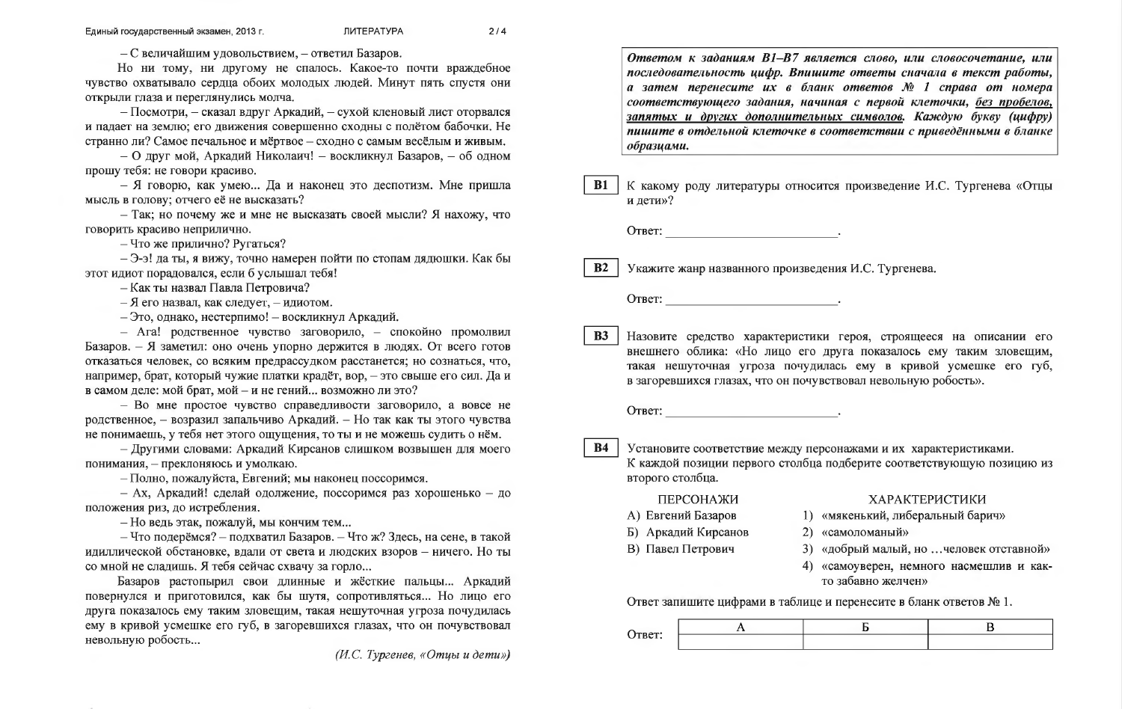- С величайшим удовольствием, - ответил Базаров.

Но ни тому, ни другому не спалось. Какое-то почти враждебное чувство охватывало сердца обоих молодых людей. Минут пять спустя они открыли глаза и переглянулись молча.

- Посмотри, - сказал вдруг Аркадий, - сухой кленовый лист оторвался и падает на землю; его движения совершенно сходны с полётом бабочки. Не странно ли? Самое печальное и мёртвое - сходно с самым весёлым и живым.

- О друг мой, Аркадий Николаич! - воскликнул Базаров, - об одном прошу тебя: не говори красиво.

- Я говорю, как умею... Да и наконец это деспотизм. Мне пришла мысль в голову; отчего её не высказать?

- Так; но почему же и мне не высказать своей мысли? Я нахожу, что говорить красиво неприлично.

- Что же прилично? Ругаться?

– Э-э! да ты, я вижу, точно намерен пойти по стопам дядюшки. Как бы этот идиот порадовался, если б услышал тебя!

– Как ты назвал Павла Петровича?

- Я его назвал, как следует, - идиотом.

- Это, однако, нестерпимо! - воскликнул Аркадий.

- Ага! родственное чувство заговорило, - спокойно промолвил Базаров. - Я заметил: оно очень упорно держится в людях. От всего готов отказаться человек, со всяким предрассудком расстанется; но сознаться, что, например, брат, который чужие платки крадёт, вор, - это свыше его сил. Да и в самом деле: мой брат, мой - и не гений... возможно ли это?

- Во мне простое чувство справедливости заговорило, а вовсе не родственное, - возразил запальчиво Аркадий. - Но так как ты этого чувства не понимаешь, у тебя нет этого ощущения, то ты и не можешь судить о нём.

- Другими словами: Аркадий Кирсанов слишком возвышен для моего понимания, - преклоняюсь и умолкаю.

- Полно, пожалуйста, Евгений; мы наконец поссоримся.

- Ах, Аркадий! сделай одолжение, поссоримся раз хорошенько - до положения риз, до истребления.

- Но ведь этак, пожалуй, мы кончим тем...

– Что подерёмся? – подхватил Базаров. – Что ж? Здесь, на сене, в такой идиллической обстановке, вдали от света и людских взоров - ничего. Но ты со мной не сладишь. Я тебя сейчас схвачу за горло...

Базаров растопырил свои длинные и жёсткие пальцы... Аркадий повернулся и приготовился, как бы шутя, сопротивляться... Но лицо его друга показалось ему таким зловещим, такая нешуточная угроза почудилась ему в кривой усмешке его губ, в загоревшихся глазах, что он почувствовал невольную робость...

(И.С. Тургенев, «Отцы и дети»)

Ответом к заданиям В1-В7 является слово, или словосочетание, или последовательность цифр. Впишите ответы сначала в текст работы, а затем перенесите их в бланк ответов № 1 справа от номера соответствующего задания, начиная с первой клеточки, без пробелов, запятых и других дополнительных символов. Каждую букву (шифру) пишите в отдельной клеточке в соответствии с приведёнными в бланке образиами.

К какому роду литературы относится произведение И.С. Тургенева «Отцы **B1** и лети»?

Ответ: по последните село в село в село в село в село в село в село в село в село в село в село в село в село

 $B2$ Укажите жанр названного произведения И.С. Тургенева.

**B3** Назовите средство характеристики героя, строящееся на описании его внешнего облика: «Но лицо его друга показалось ему таким зловещим, такая нешуточная угроза почудилась ему в кривой усмешке его губ. в загоревшихся глазах, что он почувствовал невольную робость».

Ответ: по последните село в село в село в село в село в село в село в село в село в село в село в село в село в

Установите соответствие между персонажами и их характеристиками. **B4** К каждой позиции первого столбца подберите соответствующую позицию из второго столбца.

ПЕРСОНАЖИ

- А) Евгений Базаров
- Б) Аркадий Кирсанов
- В) Павел Петрович

# **ХАРАКТЕРИСТИКИ**

- 1) «мякенький, либеральный барич»
- 2) «самоломаный»
- 3) «добрый малый, но ... человек отставной»
- 4) «самоуверен, немного насмешлив и както забавно желчен»

Ответ запишите цифрами в таблице и перенесите в бланк ответов № 1.

| $-$<br>᠁ |  |  |
|----------|--|--|
|          |  |  |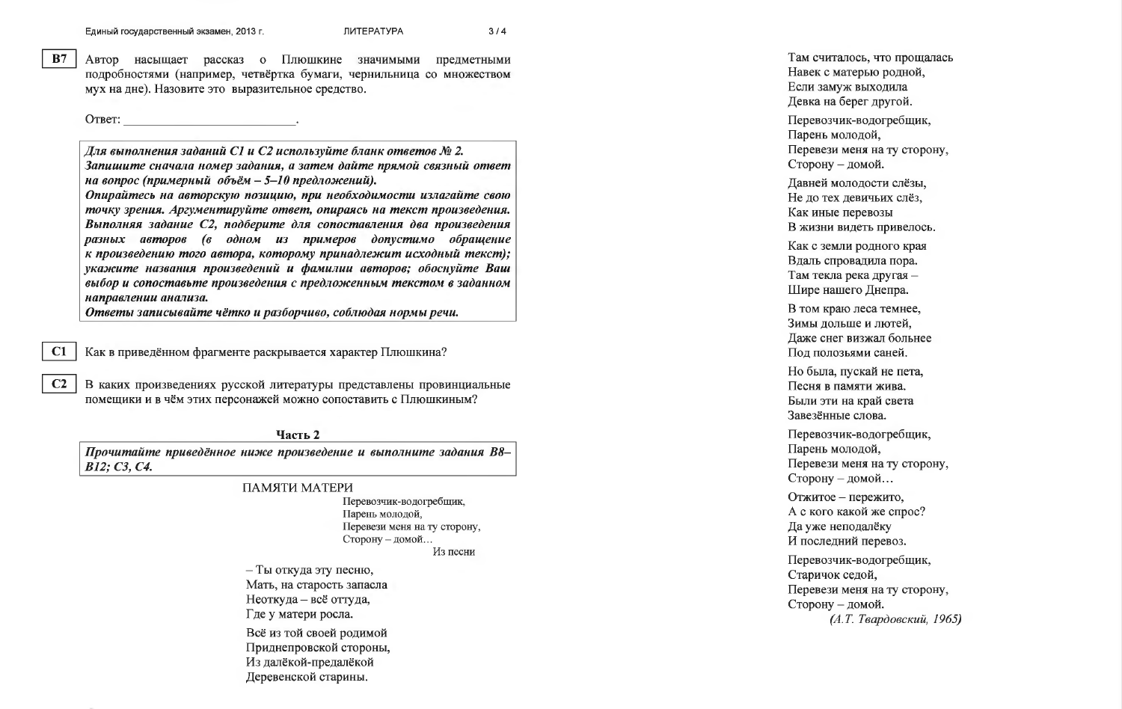$B7$ Автор насыщает рассказ о Плюшкине значимыми предметными подробностями (например, четвёртка бумаги, чернильница со множеством мух на дне). Назовите это выразительное средство.

Ответ: по последните село в село в село в село в село в село в село в село в село в село в село в село в село

Для выполнения заданий С1 и С2 используйте бланк ответов № 2. Запишите сначала номер задания, а затем дайте прямой связный ответ на вопрос (примерный объём - 5-10 предложений).

Опирайтесь на авторскую позицию, при необходимости излагайте свою точку зрения. Аргументируйте ответ, опираясь на текст произведения. Выполняя задание С2, подберите для сопоставления два произведения разных авторов (в одном из примеров допустимо обращение к произведению того автора, которому принадлежит исходный текст); укажите названия произведений и фамилии авторов; обоснуйте Ваш выбор и сопоставьте произведения с предложенным текстом в заданном направлении анализа.

Ответы записывайте чётко и разборчиво, соблюдая нормы речи.

 $C1$ Как в приведённом фрагменте раскрывается характер Плюшкина?

 $C2$ В каких произведениях русской литературы представлены провинциальные помещики и в чём этих персонажей можно сопоставить с Плюшкиным?

#### Часть 2

Прочитайте приведённое ниже произведение и выполните задания В8-B12; C3, C4.

### ПАМЯТИ МАТЕРИ

Перевозчик-водогребщик, Парень молодой. Перевези меня на ту сторону, Сторону - домой... Из песни

- Ты откуда эту песню, Мать, на старость запасла Неоткуда - всё оттуда, Где у матери росла. Всё из той своей родимой Приднепровской стороны, Из далёкой-предалёкой Деревенской старины.

Там считалось, что прощалась Навек с матерью родной, Если замуж выходила Девка на берег другой. Перевозчик-водогребшик. Парень молодой, Перевези меня на ту сторону, Сторону - домой. Давней молодости слёзы, Не до тех девичьих слёз, Как иные перевозы В жизни видеть привелось. Как с земли родного края Вдаль спровадила пора. Там текла река другая -Шире нашего Днепра. В том краю леса темнее, Зимы лольше и лютей. Даже снег визжал больнее Под полозьями саней. Но была, пускай не пета, Песня в памяти жива. Были эти на край света Завезённые слова. Перевозчик-водогребщик, Парень молодой, Перевези меня на ту сторону, Сторону - домой... Отжитое - пережито, А с кого какой же спрос? Да уже неподалёку И последний перевоз. Перевозчик-водогребщик, Старичок селой. Перевези меня на ту сторону, Сторону - домой. (А.Т. Твардовский, 1965)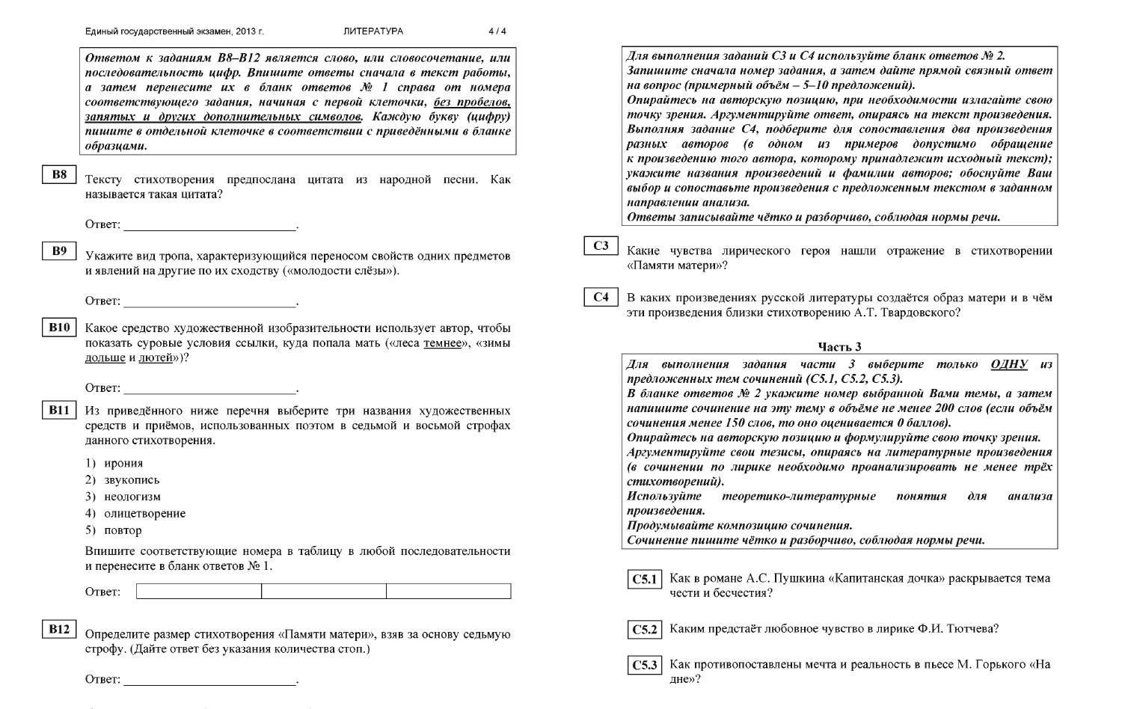Ответом к заданиям В8-В12 является слово, или словосочетание, или последовательность цифр. Впишите ответы сначала в текст работы, а затем перенесите их в бланк ответов № 1 справа от номера соответствующего задания, начиная с первой клеточки, без пробелов, запятых и других дополнительных символов. Каждую букву (цифру) пишите в отдельной клеточке в соответствии с приведёнными в бланке образцами.

**B8** 

Тексту стихотворения предпослана цитата из народной песни. Как называется такая цитата?

Ответ: что с последните село с последните село с последните село с последните село с последните село с последните с

**B9** Укажите вид тропа, характеризующийся переносом свойств одних предметов и явлений на другие по их сходству («молодости слёзы»).

Ответ: по последните село в село с по последните село с по последните село с по последните село с по последните с

Какое средство художественной изобразительности использует автор, чтобы  $B10$ показать суровые условия ссылки, куда попала мать («леса темнее», «зимы дольше и лютей»)?

Ответ: При последните село с последните село с последните село с последните село с последните село с последните с

Из приведённого ниже перечня выберите три названия художественных  $B11$ средств и приёмов, использованных поэтом в седьмой и восьмой строфах данного стихотворения.

1) ирония

- 2) звукопись
- 3) неологизм
- 4) олицетворение

 $5)$   $\pi$ OBTO $p$ 

Впишите соответствующие номера в таблицу в любой последовательности и перенесите в бланк ответов № 1.

Ответ:

 $B12$ Определите размер стихотворения «Памяти матери», взяв за основу седьмую строфу. (Дайте ответ без указания количества стоп.)

Ответ:

Для выполнения заданий СЗ и С4 используйте бланк ответов № 2. Запишите сначала номер задания, а затем дайте прямой связный ответ на вопрос (примерный объём - 5-10 предложений). Опирайтесь на авторскую позицию, при необходимости излагайте свою точку зрения. Аргументируйте ответ, опираясь на текст произведения. Выполняя задание С4, подберите для сопоставления два произведения разных авторов (в одном из примеров допустимо обращение к произведению того автора, которому принадлежит исходный текст); укажите названия произведений и фамилии авторов; обоснуйте Ваш выбор и сопоставьте произведения с предложенным текстом в заданном направлении анализа.

Ответы записывайте чётко и разборчиво, соблюдая нормы речи.

 $C3$ Какие чувства лирического героя нашли отражение в стихотворении «Памяти матери»?

В каких произведениях русской литературы создаётся образ матери и в чём  $C4$ эти произведения близки стихотворению А.Т. Твардовского?

# Часть 3

Для выполнения задания части 3 выберите только ОДНУ из предложенных тем сочинений (С5.1, С5.2, С5.3).

В бланке ответов № 2 укажите номер выбранной Вами темы, а затем напишите сочинение на эту тему в объёме не менее 200 слов (если объём сочинения менее 150 слов, то оно оценивается 0 баллов).

Опирайтесь на авторскую позицию и формулируйте свою точку зрения. Аргументируйте свои тезисы, опираясь на литературные произведения (в сочинении по лирике необходимо проанализировать не менее трёх стихотворений).

Используйте теоретико-литературные понятия для анализа произведения.

Продумывайте композицию сочинения.

Сочинение пишите чётко и разборчиво, соблюдая нормы речи.



Как в романе А.С. Пушкина «Капитанская дочка» раскрывается тема чести и бесчестия?



Каким предстаёт любовное чувство в лирике Ф.И. Тютчева?

Как противопоставлены мечта и реальность в пьесе М. Горького «На  $C5.3$ дне»?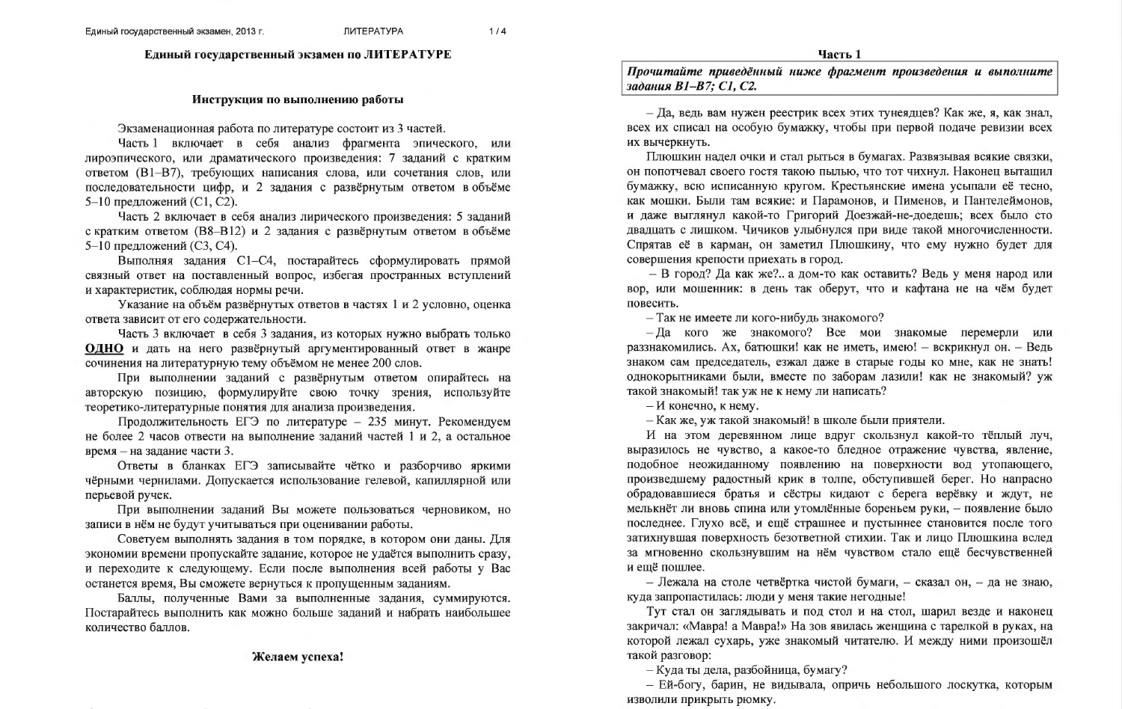#### Инструкция по выполнению работы

Экзаменационная работа по литературе состоит из 3 частей.

Часть 1 включает в себя анализ фрагмента эпического, или лироэпического, или драматического произведения: 7 заданий с кратким ответом (B1-B7), требующих написания слова, или сочетания слов, или последовательности цифр, и 2 задания с развёрнутым ответом в объёме 5-10 предложений (С1, С2).

Часть 2 включает в себя анализ лирического произведения: 5 заданий с кратким ответом (В8-В12) и 2 задания с развёрнутым ответом в объёме 5-10 предложений (СЗ, С4).

Выполняя задания С1-С4, постарайтесь сформулировать прямой связный ответ на поставленный вопрос, избегая пространных вступлений и характеристик, соблюдая нормы речи.

Указание на объём развёрнутых ответов в частях 1 и 2 условно, оценка ответа зависит от его содержательности.

Часть 3 включает в себя 3 задания, из которых нужно выбрать только ОДНО и дать на него развёрнутый аргументированный ответ в жанре сочинения на литературную тему объёмом не менее 200 слов.

При выполнении заданий с развёрнутым ответом опирайтесь на авторскую позицию, формулируйте свою точку зрения, используйте теоретико-литературные понятия для анализа произведения.

Продолжительность ЕГЭ по литературе - 235 минут. Рекомендуем не более 2 часов отвести на выполнение заданий частей 1 и 2, а остальное время - на задание части 3.

Ответы в бланках ЕГЭ записывайте чётко и разборчиво яркими чёрными чернилами. Допускается использование гелевой, капиллярной или перьевой ручек.

При выполнении заданий Вы можете пользоваться черновиком, но записи в нём не будут учитываться при оценивании работы.

Советуем выполнять задания в том порядке, в котором они даны. Для экономии времени пропускайте задание, которое не удаётся выполнить сразу, и переходите к следующему. Если после выполнения всей работы у Вас останется время, Вы сможете вернуться к пропущенным заданиям.

Баллы, полученные Вами за выполненные задания, суммируются. Постарайтесь выполнить как можно больше заданий и набрать наибольшее количество баллов.

#### Желаем успеха!

Прочитайте приведённый ниже фрагмент произведения и выполните задания В1-В7: С1, С2.

- Да, ведь вам нужен реестрик всех этих тунеядцев? Как же, я, как знал, всех их списал на особую бумажку, чтобы при первой подаче ревизии всех их вычеркнуть.

Плюшкин надел очки и стал рыться в бумагах. Развязывая всякие связки, он попотчевал своего гостя такою пылью, что тот чихнул. Наконец вытащил бумажку, всю исписанную кругом. Крестьянские имена усыпали её тесно, как мошки. Были там всякие: и Парамонов, и Пименов, и Пантелеймонов, и даже выглянул какой-то Григорий Доезжай-не-доедешь; всех было сто двадцать с лишком. Чичиков улыбнулся при виде такой многочисленности. Спрятав её в карман, он заметил Плюшкину, что ему нужно будет для совершения крепости приехать в город.

- В город? Да как же?.. а дом-то как оставить? Ведь у меня народ или вор, или мошенник: в день так оберут, что и кафтана не на чём будет повесить.

- Так не имеете ли кого-нибудь знакомого?

- Да кого же знакомого? Все мои знакомые перемерли или раззнакомились. Ах, батюшки! как не иметь, имею! - вскрикнул он. - Ведь знаком сам председатель, езжал даже в старые годы ко мне, как не знать! однокорытниками были, вместе по заборам лазили! как не знакомый? уж такой знакомый! так уж не к нему ли написать?

 $-$  И конечно, к нему.

- Как же, уж такой знакомый! в школе были приятели.

И на этом деревянном лице вдруг скользнул какой-то тёплый луч, выразилось не чувство, а какое-то бледное отражение чувства, явление, подобное неожиданному появлению на поверхности вод утопающего, произведшему радостный крик в толпе, обступившей берег. Но напрасно обрадовавшиеся братья и сёстры кидают с берега верёвку и ждут, не мелькнёт ли вновь спина или утомлённые бореньем руки, - появление было последнее. Глухо всё, и ещё страшнее и пустыннее становится после того затихнувшая поверхность безответной стихии. Так и лицо Плюшкина вслед за мгновенно скользнувшим на нём чувством стало ещё бесчувственней и ещё пошлее.

- Лежала на столе четвёртка чистой бумаги, - сказал он, - да не знаю, куда запропастилась: люди у меня такие негодные!

Тут стал он заглядывать и под стол и на стол, шарил везде и наконец закричал: «Мавра! а Maвpa!» На зов явилась женщина с тарелкой в руках, на которой лежал сухарь, уже знакомый читателю. И между ними произошёл такой разговор:

– Куда ты дела, разбойница, бумагу?

- Ей-богу, барин, не видывала, опричь небольшого лоскутка, которым изволили прикрыть рюмку.

 $1/4$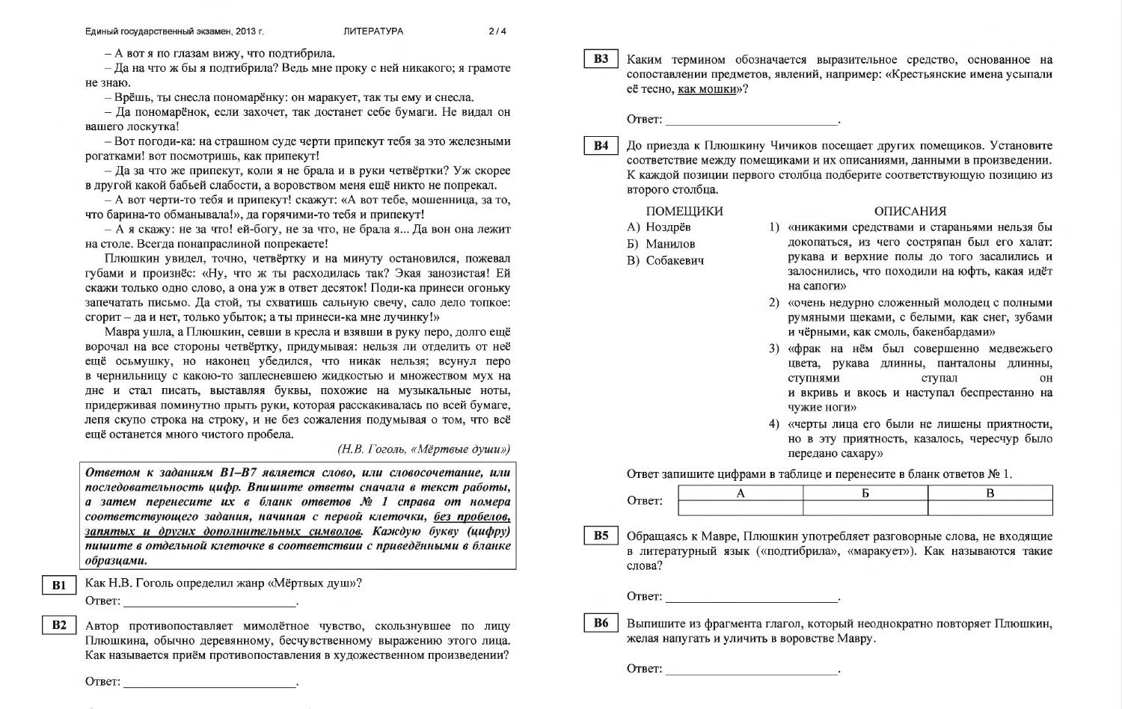- А вот я по глазам вижу, что подтибрила.

- Да на что ж бы я подтибрила? Ведь мне проку с ней никакого; я грамоте не знаю.

- Врёшь, ты снесла пономарёнку: он маракует, так ты ему и снесла.

- Да пономарёнок, если захочет, так достанет себе бумаги. Не видал он вашего лоскутка!

- Вот погоди-ка: на страшном суде черти припекут тебя за это железными рогатками! вот посмотришь, как припекут!

– Да за что же припекут, коли я не брала и в руки четвёртки? Уж скорее в другой какой бабьей слабости, а воровством меня ещё никто не попрекал.

- А вот черти-то тебя и припекут! скажут: «А вот тебе, мошенница, за то, что барина-то обманывала!», да горячими-то тебя и припекут!

- А я скажу: не за что! ей-богу, не за что, не брала я... Да вон она лежит на столе. Всегда понапраслиной попрекаете!

Плюшкин увидел, точно, четвёртку и на минуту остановился, пожевал губами и произнёс: «Ну, что ж ты расходилась так? Экая занозистая! Ей скажи только одно слово, а она уж в ответ десяток! Поди-ка принеси огоньку запечатать письмо. Да стой, ты схватишь сальную свечу, сало дело топкое: сгорит - да и нет, только убыток; а ты принеси-ка мне лучинку!»

Мавра ушла, а Плюшкин, севши в кресла и взявши в руку перо, долго ещё ворочал на все стороны четвёртку, придумывая: нельзя ли отделить от неё ещё осьмушку, но наконец убедился, что никак нельзя; всунул перо в чернильницу с какою-то заплесневшею жидкостью и множеством мух на дне и стал писать, выставляя буквы, похожие на музыкальные ноты, придерживая поминутно прыть руки, которая расскакивалась по всей бумаге, лепя скупо строка на строку, и не без сожаления подумывая о том, что всё ещё останется много чистого пробела.

(Н.В. Гоголь, «Мёртвые души»)

Ответом к заданиям В1-В7 является слово, или словосочетание, или последовательность цифр. Впишите ответы сначала в текст работы, а затем перенесите их в бланк ответов № 1 справа от номера соответствующего задания, начиная с первой клеточки, без пробелов, запятых и других дополнительных символов. Каждую букву (шифру) пишите в отдельной клеточке в соответствии с приведёнными в бланке образцами.

Как Н.В. Гоголь определил жанр «Мёртвых душ»? **B1** Ответ:

 $B2$ Автор противопоставляет мимолётное чувство, скользнувшее по лицу Плюшкина, обычно деревянному, бесчувственному выражению этого лица. Как называется приём противопоставления в художественном произведении?

**B3** Каким термином обозначается выразительное средство, основанное на сопоставлении предметов, явлений, например: «Крестьянские имена усыпали её тесно, как мошки»?

Ответ: При последните село в село с последните село с последните село с последните село с последните село с по

До приезда к Плюшкину Чичиков посещает других помещиков. Установите  $B4$ соответствие между помещиками и их описаниями, данными в произведении. К каждой позиции первого столбца подберите соответствующую позицию из второго столбца.

ПОМЕШИКИ

- А) Ноздрёв Б) Манилов
- В) Собакевич

# **ОПИСАНИЯ**

1) «никакими средствами и стараньями нельзя бы докопаться, из чего состряпан был его халат:

рукава и верхние полы до того засалились и залоснились, что походили на юфть, какая идёт на сапоги»

- 2) «очень недурно сложенный молодец с полными румяными щеками, с белыми, как снег, зубами и чёрными, как смоль, бакенбардами»
- 3) «фрак на нём был совершенно медвежьего цвета, рукава длинны, панталоны длинны, ступал ступнями  $O<sub>H</sub>$ и вкривь и вкось и наступал беспрестанно на чужие ноги»
- 4) «черты лица его были не лишены приятности, но в эту приятность, казалось, чересчур было передано сахару»

Ответ запишите цифрами в таблице и перенесите в бланк ответов № 1.

| <b>DAT</b> |  |  |  |  |
|------------|--|--|--|--|
|            |  |  |  |  |

**B5** Обращаясь к Мавре, Плюшкин употребляет разговорные слова, не входящие в литературный язык («подтибрила», «маракует»). Как называются такие слова?

Ответ: При совмещении с при совмещении с при совмещении с при совмещении с при совмещении с при совмещении с п

Выпишите из фрагмента глагол, который неоднократно повторяет Плюшкин, **B6** желая напугать и уличить в воровстве Мавру.

Ответ: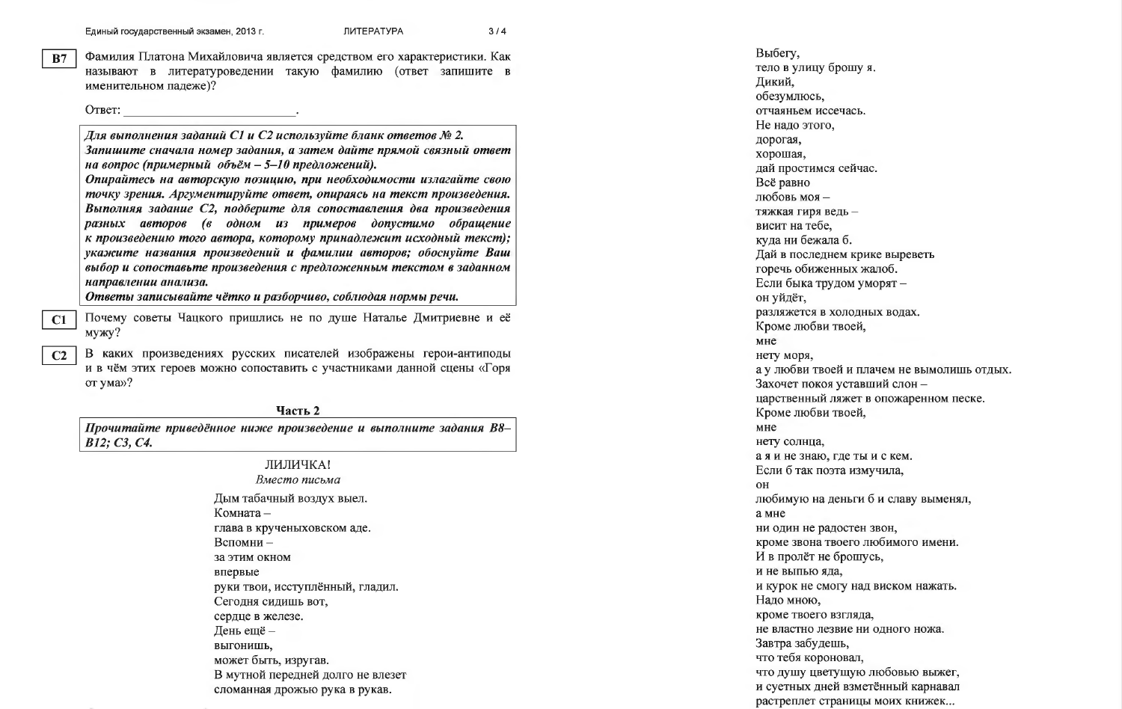Фамилия Платона Михайловича является средством его характеристики. Как называют в литературоведении такую фамилию (ответ запишите в именительном падеже)?

Ответ:

 $B7$ 

Для выполнения заданий С1 и С2 используйте бланк ответов № 2. Запишите сначала номер задания, а затем дайте прямой связный ответ на вопрос (примерный объём - 5-10 предложений).

Опирайтесь на авторскую позицию, при необходимости излагайте свою точку зрения. Аргументируйте ответ, опираясь на текст произведения. Выполняя задание С2, подберите для сопоставления два произведения разных авторов (в одном из примеров допустимо обращение к произведению того автора, которому принадлежит исходный текст); укажите названия произведений и фамилии авторов; обоснуйте Ваш выбор и сопоставьте произведения с предложенным текстом в заданном направлении анализа.

Ответы записывайте чётко и разборчиво, соблюдая нормы речи.

Почему советы Чацкого пришлись не по душе Наталье Дмитриевне и её  $C1$ мужу?

В каких произведениях русских писателей изображены герои-антиподы  $C2$ и в чём этих героев можно сопоставить с участниками данной сцены «Горя от ума»?

## Часть 2

Прочитайте приведённое ниже произведение и выполните задания В8-B12; C3, C4.

# ЛИЛИЧКА!

Вместо письма Дым табачный воздух выел. Комнатаглава в крученыховском аде. Вспомниза этим окном впервые руки твои, исступлённый, гладил. Сегодня сидишь вот, сердце в железе. День ещё выгонишь, может быть, изругав. В мутной передней долго не влезет сломанная дрожью рука в рукав.

Выбегу. тело в улицу брошу я. Дикий, обезумлюсь. отчаяньем иссечась. Не надо этого, дорогая, хорошая, дай простимся сейчас. Всё равно любовь моя тяжкая гиря ведь висит на тебе. куда ни бежала б. Дай в последнем крике выреветь горечь обиженных жалоб. Если быка трудом уморятон уйдёт, разляжется в холодных водах. Кроме любви твоей, мне нету моря, а у любви твоей и плачем не вымолишь отдых. Захочет покоя уставший слон царственный ляжет в опожаренном песке. Кроме любви твоей, мне нету солнца, ая и не знаю, где ты и с кем. Если б так поэта измучила, OH любимую на деньги б и славу выменял, а мне ни один не радостен звон, кроме звона твоего любимого имени. И в пролёт не брошусь, и не выпью яда, и курок не смогу над виском нажать. Надо мною, кроме твоего взгляда, не властно лезвие ни одного ножа. Завтра забудешь, что тебя короновал, что душу цветущую любовью выжег, и суетных дней взметённый карнавал растреплет страницы моих книжек...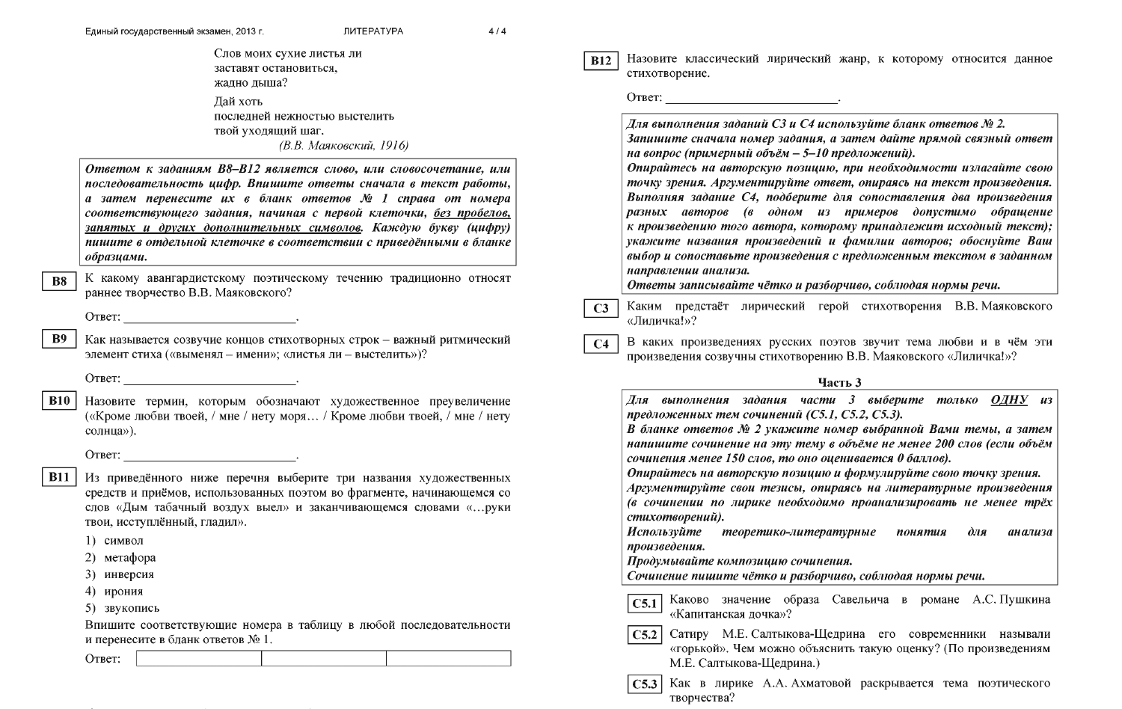Слов моих сухие листья ли заставят остановиться. жално лыша? Лай хоть последней нежностью выстелить твой уходящий шаг. (В.В. Маяковский, 1916)

Ответом к заданиям В8-В12 является слово, или словосочетание, или последовательность иифр. Впишите ответы сначала в текст работы. а затем перенесите их в бланк ответов № 1 справа от номера соответствующего задания, начиная с первой клеточки, без пробелов, запятых и других дополнительных символов. Каждую букву (цифру) пишите в отдельной клеточке в соответствии с приведёнными в бланке образцами.

**B8** 

К какому авангардистскому поэтическому течению традиционно относят раннее творчество В.В. Маяковского?

Ответ: что с последните село с последните село с последните село с последните село с последните село с последните с

Как называется созвучие концов стихотворных строк - важный ритмический **B9** элемент стиха («выменял - имени»; «листья ли - выстелить»)?

Ответ: При последните последните последните се при последните последните се при последните се при последните с

 $B10<sup>1</sup>$ Назовите термин, которым обозначают художественное преувеличение («Кроме любви твоей, / мне / нету моря... / Кроме любви твоей, / мне / нету солнца»).

Из приведённого ниже перечня выберите три названия художественных  $B11$ средств и приёмов, использованных поэтом во фрагменте, начинающемся со слов «Дым табачный воздух выел» и заканчивающемся словами «...руки твои, исступлённый, гладил».

1) символ

- 2) метафора
- 3) инверсия

4) ирония

5) звукопись

Впишите соответствующие номера в таблицу в любой последовательности и перенесите в бланк ответов № 1.

Назовите классический лирический жанр, к которому относится данное  $B12$ стихотворение.

Ответ: на последните село в село в село в село в село в село в село в село в село в село в село в село в село в с

Для выполнения заданий СЗ и С4 используйте бланк ответов № 2. Запишите сначала номер задания, а затем дайте прямой связный ответ на вопрос (примерный объём - 5-10 предложений).

Опирайтесь на авторскую позицию, при необходимости излагайте свою точку зрения. Аргументируйте ответ, опираясь на текст произведения. Выполняя задание С4, подберите для сопоставления два произведения разных авторов (в одном из примеров допустимо обращение к произведению того автора, которому принадлежит исходный текст); укажите названия произведений и фамилии авторов; обоснуйте Ваш выбор и сопоставьте произведения с предложенным текстом в заданном направлении анализа.

Ответы записывайте чётко и разборчиво, соблюдая нормы речи.

Каким предстаёт лирический герой стихотворения В.В. Маяковского  $C3$ «Лиличка!»?

В каких произведениях русских поэтов звучит тема любви и в чём эти  $C4$ произведения созвучны стихотворению В.В. Маяковского «Лиличка!»?

 $\frac{1}{2}$ 

| 14 L I B J                                                                                                                        |  |  |  |  |  |  |  |
|-----------------------------------------------------------------------------------------------------------------------------------|--|--|--|--|--|--|--|
| выполнения задания части 3 выберите только<br>ОДНУ<br>Для<br>$\mu$ <sub>3</sub><br>предложенных тем сочинений (С5.1, С5.2, С5.3). |  |  |  |  |  |  |  |
| В бланке ответов № 2 укажите номер выбранной Вами темы, а затем                                                                   |  |  |  |  |  |  |  |
| напишите сочинение на эту тему в объёме не менее 200 слов (если объём                                                             |  |  |  |  |  |  |  |
| сочинения менее 150 слов, то оно оценивается 0 баллов).                                                                           |  |  |  |  |  |  |  |
| Опирайтесь на авторскую позицию и формулируйте свою точку зрения.                                                                 |  |  |  |  |  |  |  |
| Аргументируйте свои тезисы, опираясь на литературные произведения                                                                 |  |  |  |  |  |  |  |
| (в сочинении по лирике необходимо проанализировать не менее трёх                                                                  |  |  |  |  |  |  |  |
| стихотворений).                                                                                                                   |  |  |  |  |  |  |  |
| Используйте теоретико-литературные<br>для<br>понятия<br>анализа                                                                   |  |  |  |  |  |  |  |
| произведения.                                                                                                                     |  |  |  |  |  |  |  |
| Продумывайте композицию сочинения.                                                                                                |  |  |  |  |  |  |  |
| Сочинение пишите чётко и разборчиво, соблюдая нормы речи.                                                                         |  |  |  |  |  |  |  |
| Каково значение образа Савельича в романе<br>А.С. Пушкина<br>C <sub>5.1</sub><br>«Капитанская дочка»?                             |  |  |  |  |  |  |  |
| Сатиру М.Е. Салтыкова-Щедрина его современники<br>C5.2<br>называли                                                                |  |  |  |  |  |  |  |
| «горькой». Чем можно объяснить такую оценку? (По произведениям                                                                    |  |  |  |  |  |  |  |
| М.Е. Салтыкова-Шедрина.)                                                                                                          |  |  |  |  |  |  |  |

Как в лирике А.А. Ахматовой раскрывается тема поэтического  $C5.3$ творчества?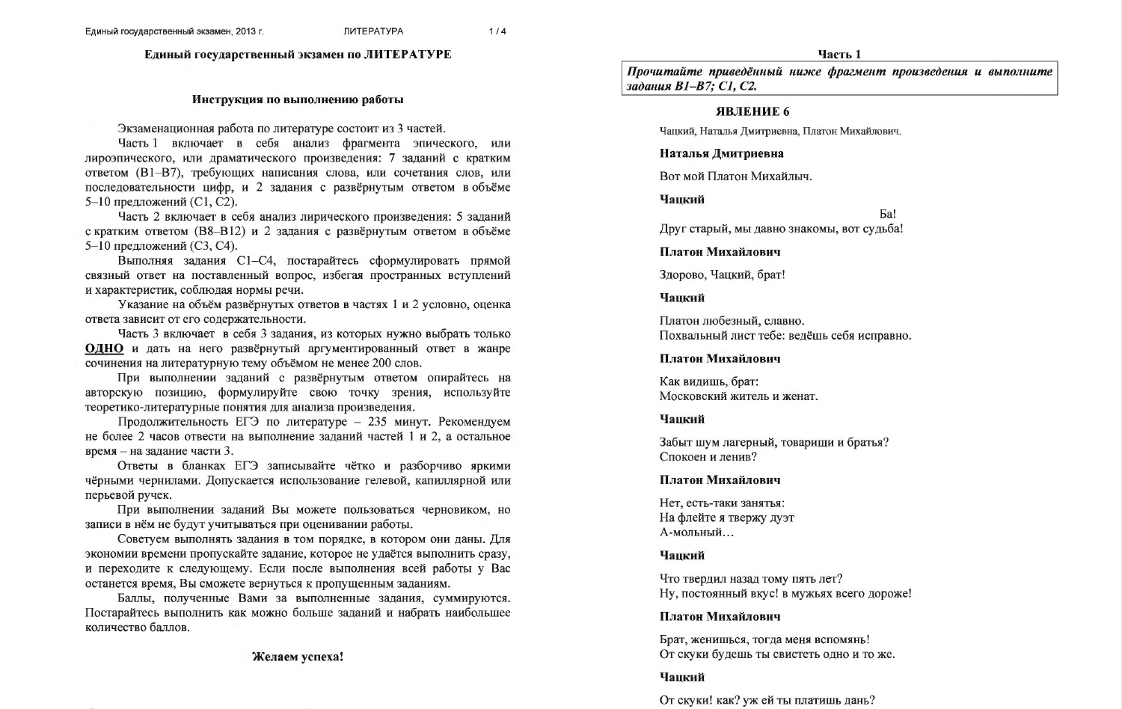#### Инструкция по выполнению работы

Экзаменационная работа по литературе состоит из 3 частей.

Часть 1 включает в себя анализ фрагмента эпического, или лироэпического, или драматического произведения: 7 заданий с кратким ответом (B1-B7), требующих написания слова, или сочетания слов, или последовательности цифр, и 2 задания с развёрнутым ответом в объёме 5-10 предложений (С1, С2).

Часть 2 включает в себя анализ лирического произведения: 5 заданий с кратким ответом (В8-В12) и 2 задания с развёрнутым ответом в объёме 5-10 предложений (СЗ, С4).

Выполняя задания С1-С4, постарайтесь сформулировать прямой связный ответ на поставленный вопрос, избегая пространных вступлений и характеристик, соблюдая нормы речи.

Указание на объём развёрнутых ответов в частях 1 и 2 условно, оценка ответа зависит от его содержательности.

Часть 3 включает в себя 3 задания, из которых нужно выбрать только ОДНО и дать на него развёрнутый аргументированный ответ в жанре сочинения на литературную тему объёмом не менее 200 слов.

При выполнении заданий с развёрнутым ответом опирайтесь на авторскую позицию, формулируйте свою точку зрения, используйте теоретико-литературные понятия для анализа произведения.

Продолжительность ЕГЭ по литературе - 235 минут. Рекомендуем не более 2 часов отвести на выполнение заданий частей 1 и 2, а остальное время - на задание части 3.

Ответы в бланках ЕГЭ записывайте чётко и разборчиво яркими чёрными чернилами. Допускается использование гелевой, капиллярной или перьевой ручек.

При выполнении заданий Вы можете пользоваться черновиком, но записи в нём не будут учитываться при оценивании работы.

Советуем выполнять задания в том порядке, в котором они даны. Для экономии времени пропускайте задание, которое не удаётся выполнить сразу, и переходите к следующему. Если после выполнения всей работы у Вас останется время, Вы сможете вернуться к пропущенным заданиям.

Баллы, полученные Вами за выполненные задания, суммируются. Постарайтесь выполнить как можно больше заданий и набрать наибольшее количество баллов.

Желаем успеха!

Прочитайте приведённый ниже фрагмент произведения и выполните задания В1-В7: С1. С2.

#### **SRIEHUE 6**

Чацкий, Наталья Дмитриевна, Платон Михайлович.

#### Наталья Дмитриевна

Вот мой Платон Михайлыч.

Чанкий

#### **Ба!**

Друг старый, мы давно знакомы, вот судьба!

Платон Михайлович

Здорово, Чацкий, брат!

# Чанкий

Платон любезный, славно. Похвальный лист тебе: ведёшь себя исправно.

## Платон Михайлович

Как видишь, брат: Московский житель и женат.

#### Чанкий

Забыт шум лагерный, товарищи и братья? Спокоен и ленив?

#### Платон Михайлович

Нет, есть-таки занятья: На флейте я твержу дуэт А-мольный...

# Чанкий

Что твердил назад тому пять лет? Ну, постоянный вкус! в мужьях всего дороже!

#### Платон Михайлович

Брат, женишься, тогда меня вспомянь! От скуки будешь ты свистеть одно и то же.

#### Чанкий

От скуки! как? уж ей ты платишь дань?

 $1/4$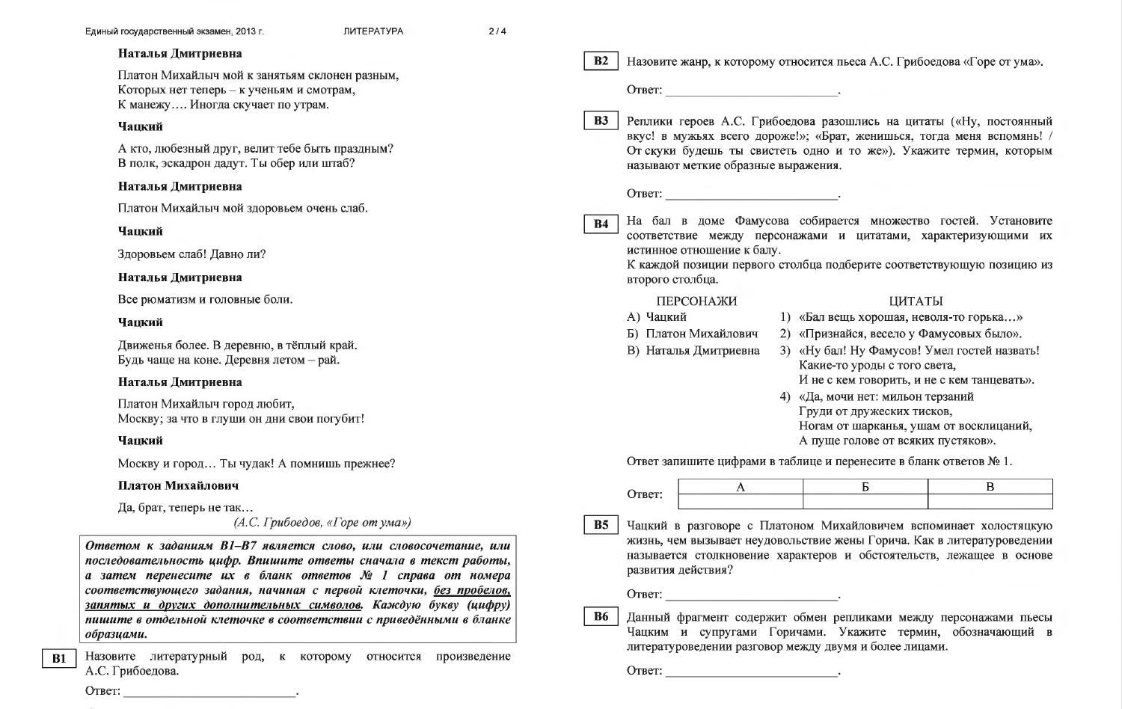| 2/4<br>Единый государственный экзамен, 2013 г.<br>ЛИТЕРАТУРА                                                                                                                                                                                                                                                                                                                                                                  |                                                                                                                                                                                                                                                                                                                                                 |
|-------------------------------------------------------------------------------------------------------------------------------------------------------------------------------------------------------------------------------------------------------------------------------------------------------------------------------------------------------------------------------------------------------------------------------|-------------------------------------------------------------------------------------------------------------------------------------------------------------------------------------------------------------------------------------------------------------------------------------------------------------------------------------------------|
| Наталья Дмитриевна                                                                                                                                                                                                                                                                                                                                                                                                            | B2<br>Назовите жанр, к которому относится пьеса А.С. Грибоедова «Горе от ума».                                                                                                                                                                                                                                                                  |
| Платон Михайлыч мой к занятьям склонен разным,<br>Которых нет теперь - к ученьям и смотрам,<br>К манежу Иногда скучает по утрам.                                                                                                                                                                                                                                                                                              | Ответ: по последните село в село в село в село в село в село в село в село в село в село в село в село в село в                                                                                                                                                                                                                                 |
| Чашкий                                                                                                                                                                                                                                                                                                                                                                                                                        | Реплики героев А.С. Грибоедова разошлись на цитаты («Ну, постоянный<br><b>B3</b>                                                                                                                                                                                                                                                                |
| А кто, любезный друг, велит тебе быть праздным?<br>В полк, эскадрон дадут. Ты обер или штаб?                                                                                                                                                                                                                                                                                                                                  | вкус! в мужьях всего дороже!»; «Брат, женишься, тогда меня вспомянь! /<br>От скуки будешь ты свистеть одно и то же»). Укажите термин, которым<br>называют меткие образные выражения.                                                                                                                                                            |
| Наталья Дмитриевна                                                                                                                                                                                                                                                                                                                                                                                                            |                                                                                                                                                                                                                                                                                                                                                 |
| Платон Михайлыч мой здоровьем очень слаб.                                                                                                                                                                                                                                                                                                                                                                                     |                                                                                                                                                                                                                                                                                                                                                 |
| Чашкий                                                                                                                                                                                                                                                                                                                                                                                                                        | На бал в доме Фамусова собирается множество гостей. Установите<br><b>B4</b><br>соответствие между персонажами и цитатами, характеризующими их                                                                                                                                                                                                   |
| Здоровьем слаб! Давно ли?                                                                                                                                                                                                                                                                                                                                                                                                     | истинное отношение к балу.                                                                                                                                                                                                                                                                                                                      |
| Наталья Дмитриевна                                                                                                                                                                                                                                                                                                                                                                                                            | К каждой позиции первого столбца подберите соответствующую позицию из<br>второго столбца.                                                                                                                                                                                                                                                       |
| Все рюматизм и головные боли.                                                                                                                                                                                                                                                                                                                                                                                                 | ПЕРСОНАЖИ<br>ЦИТАТЫ                                                                                                                                                                                                                                                                                                                             |
| Чацкий                                                                                                                                                                                                                                                                                                                                                                                                                        | 1) «Бал вещь хорошая, неволя-то горька»<br>А) Чацкий                                                                                                                                                                                                                                                                                            |
| Движенья более. В деревню, в тёплый край.<br>Будь чаще на коне. Деревня летом - рай.                                                                                                                                                                                                                                                                                                                                          | 2) «Признайся, весело у Фамусовых было».<br>Б) Платон Михайлович<br>В) Наталья Дмитриевна<br>3) «Ну бал! Ну Фамусов! Умел гостей назвать!<br>Какие-то уроды с того света,                                                                                                                                                                       |
| Наталья Дмитриевна                                                                                                                                                                                                                                                                                                                                                                                                            | И не с кем говорить, и не с кем танцевать».                                                                                                                                                                                                                                                                                                     |
| Платон Михайлыч город любит,<br>Москву; за что в глуши он дни свои погубит!                                                                                                                                                                                                                                                                                                                                                   | 4) «Да, мочи нет: мильон терзаний<br>Груди от дружеских тисков,<br>Ногам от шарканья, ушам от восклицаний,                                                                                                                                                                                                                                      |
| Чацкий                                                                                                                                                                                                                                                                                                                                                                                                                        | А пуще голове от всяких пустяков».                                                                                                                                                                                                                                                                                                              |
| Москву и город Ты чудак! А помнишь прежнее?                                                                                                                                                                                                                                                                                                                                                                                   | Ответ запишите цифрами в таблице и перенесите в бланк ответов № 1.                                                                                                                                                                                                                                                                              |
| Платон Михайлович                                                                                                                                                                                                                                                                                                                                                                                                             | $\mathbf{E}$<br>$\mathbf{B}$<br>A<br>Ответ:                                                                                                                                                                                                                                                                                                     |
| Да, брат, теперь не так<br>(А.С. Грибоедов, «Горе от ума»)                                                                                                                                                                                                                                                                                                                                                                    | <b>B5</b><br>Чацкий в разговоре с Платоном Михайловичем вспоминает холостяцкую                                                                                                                                                                                                                                                                  |
| Ответом к заданиям В1-В7 является слово, или словосочетание, или<br>последовательность цифр. Впишите ответы сначала в текст работы,<br>а затем перенесите их в бланк ответов № 1 справа от номера<br>соответствующего задания, начиная с первой клеточки, без пробелов,<br>запятых и других дополнительных символов. Каждую букву (цифру)<br>пишите в отдельной клеточке в соответствии с приведёнными в бланке<br>образцами. | жизнь, чем вызывает неудовольствие жены Горича. Как в литературоведении<br>называется столкновение характеров и обстоятельств, лежащее в основе<br>развития действия?<br>OTBeT: $\qquad \qquad$<br>Данный фрагмент содержит обмен репликами между персонажами пьесы<br><b>B6</b><br>Чацким и супругами Горичами. Укажите термин, обозначающий в |
| Назовите литературный род, к которому относится произведение<br><b>B</b> 1<br>А.С. Грибоедова.                                                                                                                                                                                                                                                                                                                                | литературоведении разговор между двумя и более лицами.                                                                                                                                                                                                                                                                                          |
| Ответ:                                                                                                                                                                                                                                                                                                                                                                                                                        |                                                                                                                                                                                                                                                                                                                                                 |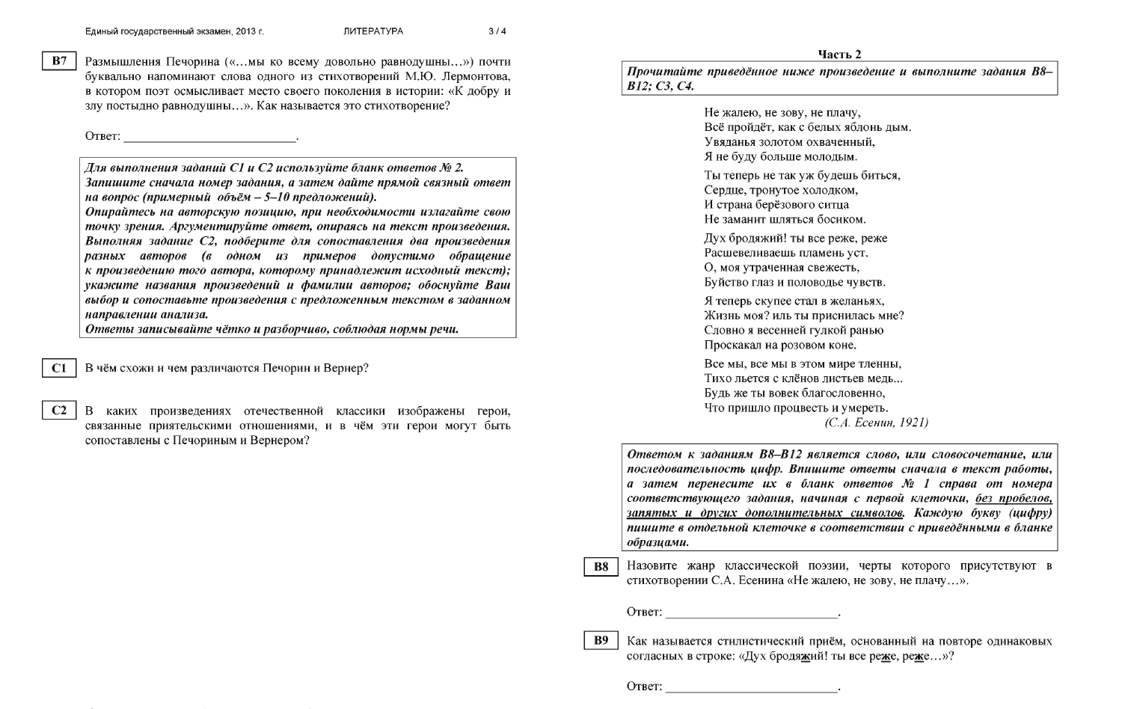Размышления Печорина («...мы ко всему довольно равнодушны...») почти буквально напоминают слова одного из стихотворений М.Ю. Лермонтова, в котором поэт осмысливает место своего поколения в истории: «К добру и злу постыдно равнодушны...». Как называется это стихотворение?

Ответ: на полно по себя в себя с после с себя с по себя с по себя с по себя с по себя с по себя с по себя с по

Для выполнения заданий С1 и С2 используйте бланк ответов № 2. Запишите сначала номер задания, а затем дайте прямой связный ответ на вопрос (примерный объём - 5-10 предложений).

Опирайтесь на авторскую позицию, при необходимости излагайте свою точку зрения, Аргументируйте ответ, опираясь на текст произведения, Выполняя задание С2, подберите для сопоставления два произведения разных авторов (в одном из примеров допустимо обращение к произведению того автора, которому принадлежит исходный текст); укажите названия произведений и фамилии авторов; обоснуйте Ваш выбор и сопоставьте произведения с предложенным текстом в заданном направлении анализа.

Ответы записывайте чётко и разборчиво, соблюдая нормы речи.

В чём схожи и чем различаются Печорин и Вернер?

 $C2$ 

 $C1$ 

 $B7$ 

В каких произведениях отечественной классики изображены герои, связанные приятельскими отношениями, и в чём эти герои могут быть сопоставлены с Печориным и Вернером?

Прочитайте приведённое ниже произведение и выполните задания В8-B12: C3. C4.

> Не жалею, не зову, не плачу, Всё пройдёт, как с белых яблонь дым. Увяданья золотом охваченный, Я не буду больше молодым.

Ты теперь не так уж будешь биться, Сердце, тронутое холодком, И страна берёзового ситца Не заманит шляться босиком.

Дух бродяжий! ты все реже, реже Расшевеливаешь пламень уст. О, моя утраченная свежесть, Буйство глаз и половодье чувств.

Я теперь скупее стал в желаньях, Жизнь моя? иль ты приснилась мне? Словно я весенней гулкой ранью Проскакал на розовом коне.

Все мы, все мы в этом мире тленны, Тихо льется с клёнов листьев мель... Будь же ты вовек благословенно, Что пришло процвесть и умереть. (С.А. Есенин. 1921)

Ответом к заданиям В8-В12 является слово, или словосочетание, или последовательность цифр. Впишите ответы сначала в текст работы, а затем перенесите их в бланк ответов № 1 справа от номера соответствующего задания, начиная с первой клеточки, без пробелов, запятых и других дополнительных символов. Каждую букву (цифру) пишите в отдельной клеточке в соответствии с приведёнными в бланке образиами.

Назовите жанр классической поэзии, черты которого присутствуют в **B8** стихотворении С.А. Есенина «Не жалею, не зову, не плачу...».

Ответ: на полно по стал с поставление с по стал с по стал с по стал с по стал с по стал с по стал с по стал с по стал с по стал с по стал с по стал с по стал с по стал с по стал с по стал с по стал с по стал с по стал с по

Как называется стилистический приём, основанный на повторе одинаковых **B9** согласных в строке: «Дух бродяжий! ты все реже, реже...»?

Ответ: по последните село в село с последните село с последните село с по село с по село с по село с по село с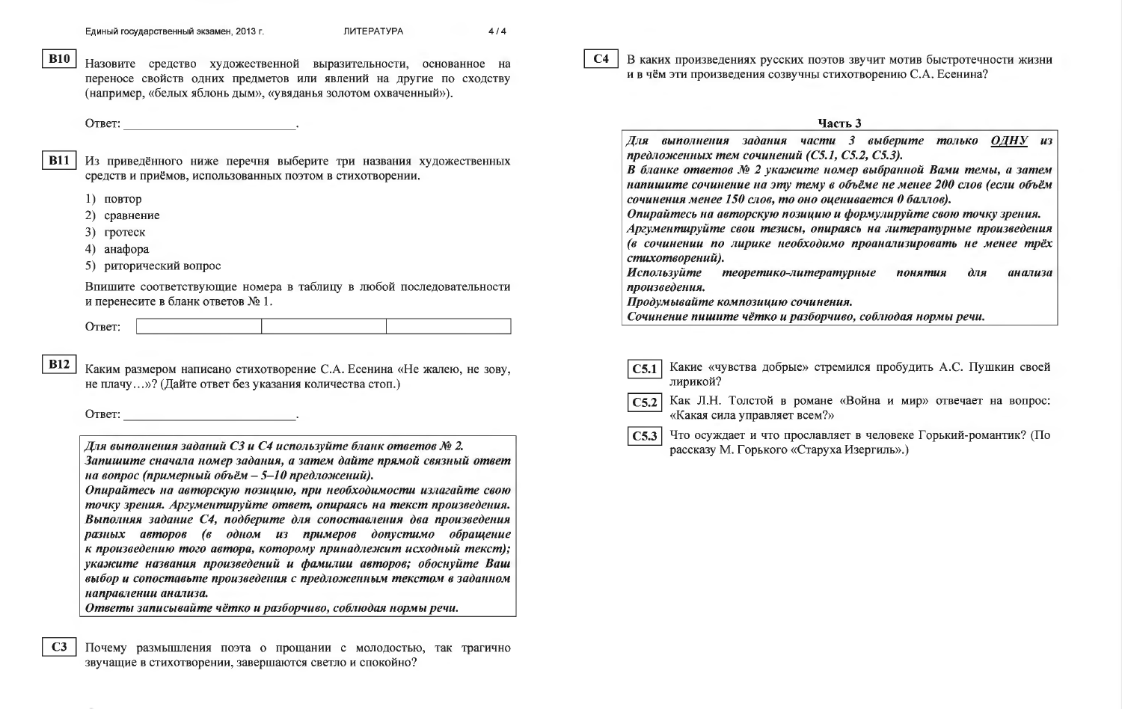|  |  | В10 Назовите средство художественной выразительности, основанное на |  |  |  |  |
|--|--|---------------------------------------------------------------------|--|--|--|--|
|  |  | переносе свойств одних предметов или явлений на другие по сходству  |  |  |  |  |
|  |  | (например, «белых яблонь дым», «увяданья золотом охваченный»).      |  |  |  |  |

Ответ: the contract of the contract of the contract of

 $R11$ 

Из приведённого ниже перечня выберите три названия художественных средств и приёмов, использованных поэтом в стихотворении.

 $1)$  повтор

2) сравнение

3) гротеск

4) анафора

5) риторический вопрос

Впишите соответствующие номера в таблицу в любой последовательности и перенесите в бланк ответов № 1.

Ответ:

**B12** 

 $C3$ 

Каким размером написано стихотворение С.А. Есенина «Не жалею, не зову, не плачу...»? (Дайте ответ без указания количества стоп.)

Ответ: по последните се поставите се подължава с поставите се поставите се поставите се поставите се поставите с

Для выполнения заданий СЗ и С4 используйте бланк ответов № 2. Запишите сначала номер задания, а затем дайте прямой связный ответ на вопрос (примерный объём - 5-10 предложений).

Опирайтесь на авторскую позицию, при необходимости излагайте свою точку зрения. Аргументируйте ответ, опираясь на текст произведения. Выполняя задание С4, подберите для сопоставления два произведения разных авторов (в одном из примеров допустимо обращение к произведению того автора, которому принадлежит исходный текст); укажите названия произведений и фамилии авторов; обоснуйте Ваш выбор и сопоставьте произведения с предложенным текстом в заданном направлении анализа.

Ответы записывайте чётко и разборчиво, соблюдая нормы речи.

Почему размышления поэта о прощании с молодостью, так трагично звучащие в стихотворении, завершаются светло и спокойно?

 $C4$ В каких произведениях русских поэтов звучит мотив быстротечности жизни и в чём эти произведения созвучны стихотворению С.А. Есенина?

Часть 3

Для выполнения задания части 3 выберите только ОДНУ из предложенных тем сочинений (С5.1, С5.2, С5.3).

В бланке ответов № 2 укажите номер выбранной Вами темы, а затем напишите сочинение на эту тему в объёме не менее 200 слов (если объём сочинения менее 150 слов, то оно оценивается 0 баллов).

Опирайтесь на авторскую позицию и формулируйте свою точку зрения. Аргументируйте свои тезисы, опираясь на литературные произведения (в сочинении по лирике необходимо проанализировать не менее трёх стихотворений).

Используйте теоретико-литературные понятия для анализа произведения.

Продумывайте композицию сочинения.

Сочинение пишите чётко и разборчиво, соблюдая нормы речи.

 $C5.1$ 

Какие «чувства добрые» стремился пробудить А.С. Пушкин своей лирикой?

Как Л.Н. Толстой в романе «Война и мир» отвечает на вопрос:  $C5.2$ «Какая сила управляет всем?»

Что осуждает и что прославляет в человеке Горький-романтик? (По  $|C5.3|$ рассказу М. Горького «Старуха Изергиль».)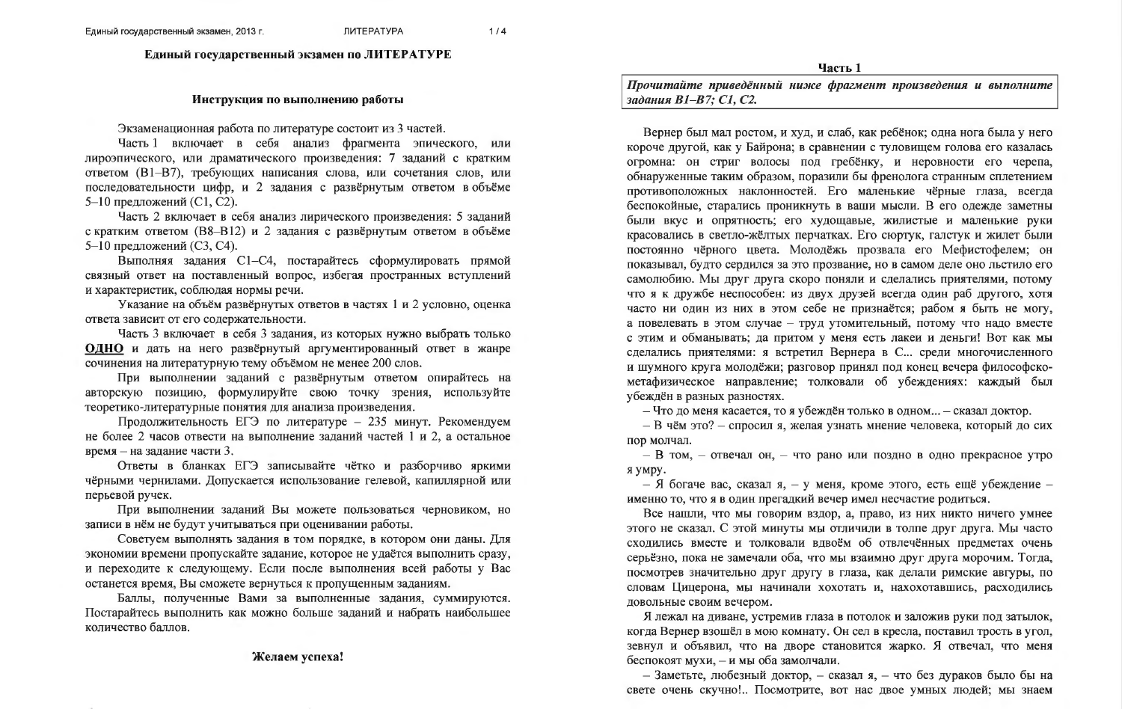#### Единый государственный экзамен по ЛИТЕРАТУРЕ

#### Инструкция по выполнению работы

Экзаменационная работа по литературе состоит из 3 частей.

Часть 1 включает в себя анализ фрагмента эпического, или лироэпического, или драматического произведения: 7 заданий с кратким ответом (B1-B7), требующих написания слова, или сочетания слов, или последовательности цифр, и 2 задания с развёрнутым ответом в объёме 5-10 предложений (С1, С2).

Часть 2 включает в себя анализ лирического произведения: 5 заланий с кратким ответом (В8-В12) и 2 задания с развёрнутым ответом в объёме 5-10 предложений (СЗ, С4).

Выполняя задания С1-С4, постарайтесь сформулировать прямой связный ответ на поставленный вопрос, избегая пространных вступлений и характеристик, соблюдая нормы речи.

Указание на объём развёрнутых ответов в частях 1 и 2 условно, оценка ответа зависит от его содержательности.

Часть 3 включает в себя 3 задания, из которых нужно выбрать только ОДНО и дать на него развёрнутый аргументированный ответ в жанре сочинения на литературную тему объёмом не менее 200 слов.

При выполнении заданий с развёрнутым ответом опирайтесь на авторскую позицию, формулируйте свою точку зрения, используйте теоретико-литературные понятия для анализа произведения.

Продолжительность ЕГЭ по литературе - 235 минут. Рекомендуем не более 2 часов отвести на выполнение заданий частей 1 и 2, а остальное время - на задание части 3.

Ответы в бланках ЕГЭ записывайте чётко и разборчиво яркими чёрными чернилами. Допускается использование гелевой, капиллярной или перьевой ручек.

При выполнении заданий Вы можете пользоваться черновиком, но записи в нём не будут учитываться при оценивании работы.

Советуем выполнять задания в том порядке, в котором они даны. Для экономии времени пропускайте задание, которое не удаётся выполнить сразу, и переходите к следующему. Если после выполнения всей работы у Вас останется время, Вы сможете вернуться к пропущенным заданиям.

Баллы, полученные Вами за выполненные задания, суммируются. Постарайтесь выполнить как можно больше заданий и набрать наибольшее количество баллов.

#### Желаем успеха!

Часть 1

Прочитайте приведённый ниже фрагмент произведения и выполните задания В1-В7; С1, С2,

Вернер был мал ростом, и худ, и слаб, как ребёнок; одна нога была у него короче другой, как у Байрона; в сравнении с туловищем голова его казалась огромна: он стриг волосы под гребёнку, и неровности его черепа, обнаруженные таким образом, поразили бы френолога странным сплетением противоположных наклонностей. Его маленькие чёрные глаза, всегда беспокойные, старались проникнуть в ваши мысли. В его одежде заметны были вкус и опрятность; его худощавые, жилистые и маленькие руки красовались в светло-жёлтых перчатках. Его сюртук, галстук и жилет были постоянно чёрного цвета. Молодёжь прозвала его Мефистофелем; он показывал, будто сердился за это прозвание, но в самом деле оно льстило его самолюбию. Мы друг друга скоро поняли и сделались приятелями, потому что я к дружбе неспособен: из двух друзей всегда один раб другого, хотя часто ни один из них в этом себе не признаётся; рабом я быть не могу, а повелевать в этом случае - труд утомительный, потому что надо вместе с этим и обманывать; да притом у меня есть лакеи и деньги! Вот как мы сделались приятелями: я встретил Вернера в С... среди многочисленного и шумного круга молодёжи; разговор принял под конец вечера философскометафизическое направление; толковали об убеждениях: каждый был убеждён в разных разностях.

- Что до меня касается, то я убеждён только в одном... - сказал доктор.

- В чём это? - спросил я, желая узнать мнение человека, который до сих пор молчал.

- В том, - отвечал он, - что рано или поздно в одно прекрасное утро я умру.

- Я богаче вас, сказал я, - у меня, кроме этого, есть ещё убеждение именно то, что я в один прегадкий вечер имел несчастие родиться.

Все нашли, что мы говорим вздор, а, право, из них никто ничего умнее этого не сказал. С этой минуты мы отличили в толпе друг друга. Мы часто сходились вместе и толковали вдвоём об отвлечённых предметах очень серьёзно, пока не замечали оба, что мы взаимно друг друга морочим. Тогда, посмотрев значительно друг другу в глаза, как делали римские авгуры, по словам Цицерона, мы начинали хохотать и, нахохотавшись, расходились довольные своим вечером.

Я лежал на диване, устремив глаза в потолок и заложив руки под затылок, когда Вернер взошёл в мою комнату. Он сел в кресла, поставил трость в угол, зевнул и объявил, что на дворе становится жарко. Я отвечал, что меня беспокоят мухи, - и мы оба замолчали.

- Заметьте, любезный доктор, - сказал я, - что без дураков было бы на свете очень скучно!.. Посмотрите, вот нас двое умных людей; мы знаем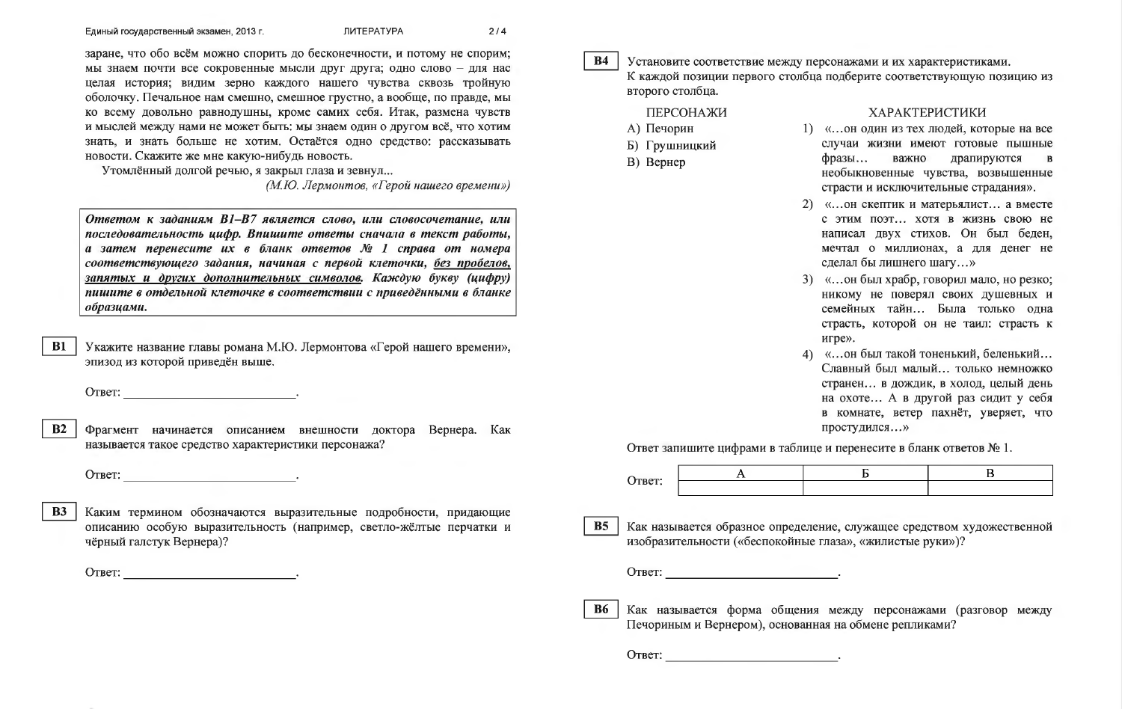заране, что обо всём можно спорить до бесконечности, и потому не спорим; мы знаем почти все сокровенные мысли друг друга; одно слово - для нас целая история; видим зерно каждого нашего чувства сквозь тройную оболочку. Печальное нам смешно, смешное грустно, а вообще, по правде, мы ко всему довольно равнодушны, кроме самих себя. Итак, размена чувств и мыслей между нами не может быть: мы знаем один о другом всё, что хотим знать, и знать больше не хотим. Остаётся одно средство: рассказывать новости. Скажите же мне какую-нибудь новость.

Утомлённый долгой речью, я закрыл глаза и зевнул...

(М.Ю. Лермонтов, «Герой нашего времени»)

Ответом к заданиям B1-В7 является слово, или словосочетание, или последовательность цифр. Впишите ответы сначала в текст работы, а затем перенесите их в бланк ответов № 1 справа от номера соответствующего задания, начиная с первой клеточки, без пробелов, запятых и других дополнительных символов. Каждую букву (цифру) пишите в отдельной клеточке в соответствии с приведёнными в бланке образцами.

**B1** 

Укажите название главы романа М.Ю. Лермонтова «Герой нашего времени», эпизод из которой приведён выше.

Ответ:

 $B2$ Фрагмент начинается описанием внешности доктора Вернера. Как называется такое средство характеристики персонажа?

Ответ: по после по после по после по после по после по после по после по после по после по после по после по п

Каким термином обозначаются выразительные подробности, придающие **B3** описанию особую выразительность (например, светло-жёлтые перчатки и чёрный галстук Вернера)?

Ответ: При последните последните село в село в село в село в село в село в село в село в село в село в село в с

**B4** 

Установите соответствие между персонажами и их характеристиками.

К каждой позиции первого столбца подберите соответствующую позицию из второго столбца.

**ПЕРСОНАЖИ** 

- А) Печорин
- Б) Грушницкий
- **В**) Вернер

# **ХАРАКТЕРИСТИКИ**

- 1) «... он один из тех людей, которые на все случаи жизни имеют готовые пышные фразы... важно драпируются  $\overline{\mathbf{B}}$ необыкновенные чувства, возвышенные страсти и исключительные страдания».
- 2) «...он скептик и матерьялист... а вместе с этим поэт... хотя в жизнь свою не написал двух стихов. Он был беден, мечтал о миллионах, а для денег не сделал бы лишнего шагу...»
- 3) «... он был храбр, говорил мало, но резко; никому не поверял своих душевных и семейных тайн... Была только одна страсть, которой он не таил: страсть к игре».
- 4) «...он был такой тоненький, беленький... Славный был малый... только немножко странен... в дождик, в холод, целый день на охоте... А в другой раз сидит у себя в комнате, ветер пахнёт, уверяет, что простудился...»

Ответ запишите цифрами в таблице и перенесите в бланк ответов № 1.

| - 21 |  |  |
|------|--|--|
|      |  |  |

**B5** Как называется образное определение, служащее средством художественной изобразительности («беспокойные глаза», «жилистые руки»)?

Ответ: по последните село в село в село в село в село в село в село в село в село в село в село в село в село в

Как называется форма общения между персонажами (разговор между **B6** Печориным и Вернером), основанная на обмене репликами?

Ответ: по последните се постава с по последните се по постава с по постава с по постава с по постава с по пост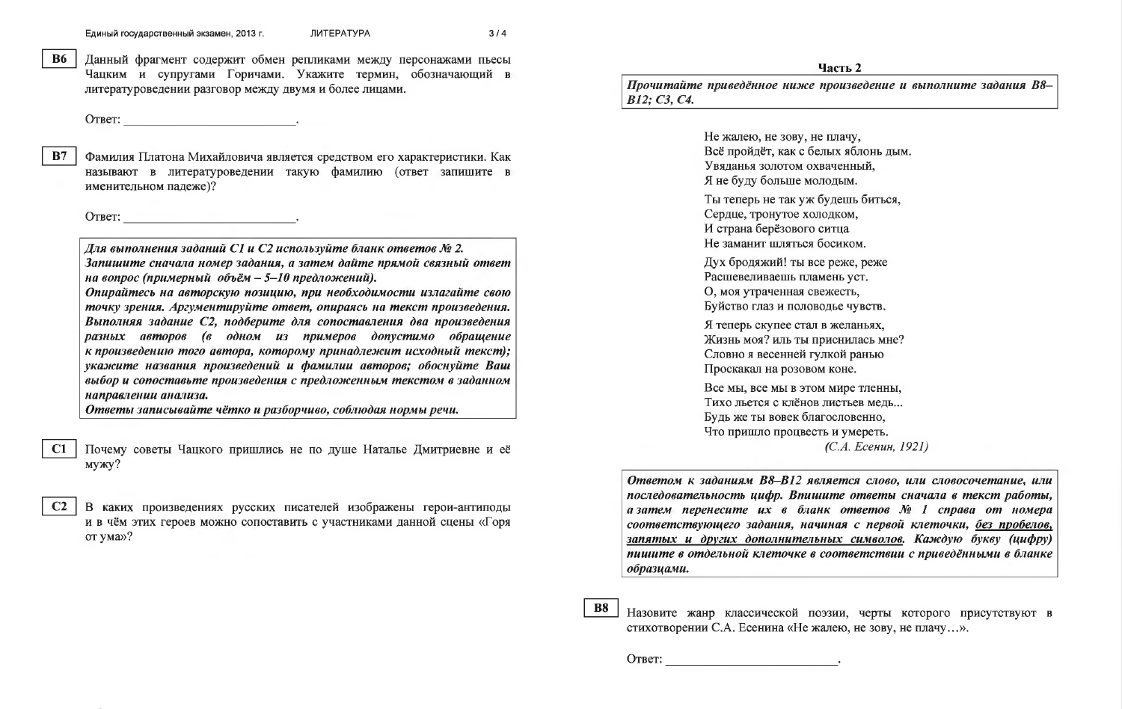**B6** Данный фрагмент содержит обмен репликами между персонажами пьесы Чацким и супругами Горичами. Укажите термин, обозначающий в литературоведении разговор между двумя и более лицами.

Ответ: по последните село в село с последните село с последните село с по село с по село с по село с по село с

Фамилия Платона Михайловича является средством его характеристики. Как называют в литературоведении такую фамилию (ответ запишите в именительном падеже)?

Ответ: по последните се поставите се поделение се поделение се поделение се поделение се поделение се поделение с

Для выполнения заданий С1 и С2 используйте бланк ответов № 2. Запишите сначала номер задания, а затем дайте прямой связный ответ на вопрос (примерный объём - 5-10 предложений).

Опирайтесь на авторскую позицию, при необходимости излагайте свою точку зрения. Аргументируйте ответ, опираясь на текст произведения. Выполняя задание С2, подберите для сопоставления два произведения разных авторов (в одном из примеров допустимо обращение к произведению того автора, которому принадлежит исходный текст); укажите названия произведений и фамилии авторов; обоснуйте Ваш выбор и сопоставьте произведения с предложенным текстом в заданном направлении анализа.

Ответы записывайте чётко и разборчиво, соблюдая нормы речи.

- Почему советы Чацкого пришлись не по душе Наталье Дмитриевне и её  $C1$ MV<sub>KV</sub>?
- В каких произведениях русских писателей изображены герои-антиподы  $C2$ и в чём этих героев можно сопоставить с участниками данной сцены «Горя от ума»?

Прочитайте приведённое ниже произведение и выполните задания В8-B12; C3, C4.

> Не жалею, не зову, не плачу, Всё пройдёт, как с белых яблонь дым. Увяданья золотом охваченный, Я не буду больше молодым.

Ты теперь не так уж будешь биться, Сердце, тронутое холодком, И страна берёзового ситца Не заманит шляться босиком.

Дух бродяжий! ты все реже, реже Расшевеливаешь пламень уст. О, моя утраченная свежесть, Буйство глаз и половодье чувств.

Я теперь скупее стал в желаньях, Жизнь моя? иль ты приснилась мне? Словно я весенней гулкой ранью Проскакал на розовом коне.

Все мы, все мы в этом мире тленны, Тихо льется с клёнов листьев мель... Будь же ты вовек благословенно. Что пришло процвесть и умереть. (С.А. Есенин, 1921)

Ответом к заданиям В8-В12 является слово, или словосочетание, или последовательность цифр. Впишите ответы сначала в текст работы, а затем перенесите их в бланк ответов № 1 справа от номера соответствующего задания, начиная с первой клеточки, без пробелов, запятых и других дополнительных символов. Каждую букву (цифру) пишите в отдельной клеточке в соответствии с приведёнными в бланке образцами.

**B8** 

Назовите жанр классической поэзии, черты которого присутствуют в стихотворении С.А. Есенина «Не жалею, не зову, не плачу...».

Ответ: При последните при последните при последните при последните при последните при последните при последните при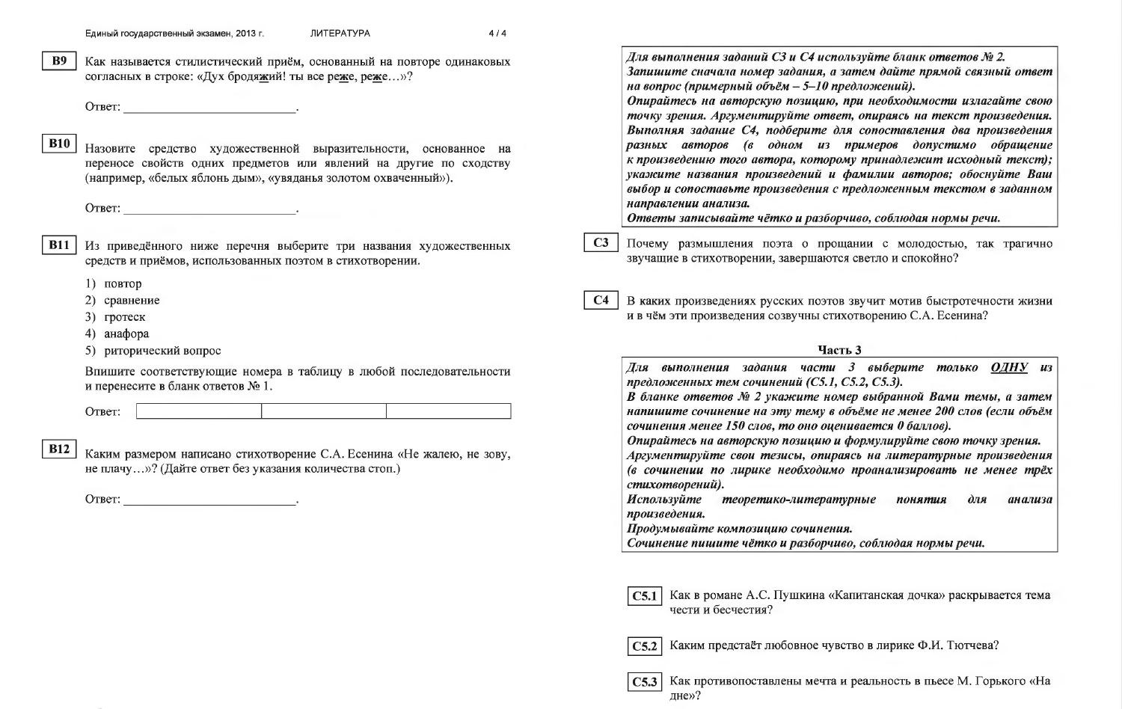**B9** 

Как называется стилистический приём, основанный на повторе одинаковых согласных в строке: «Дух бродяжий! ты все реже, реже...»?

Ответ:

**B10** 

Назовите средство художественной выразительности, основанное на переносе свойств одних предметов или явлений на другие по сходству (например, «белых яблонь дым», «увяданья золотом охваченный»).

Ответ: что с последните село с последните село с последните село с последните село с последните село с последните с

 $B11$ Из приведённого ниже перечня выберите три названия художественных средств и приёмов, использованных поэтом в стихотворении.

 $1)$  повтор

- 2) сравнение
- 3) гротеск
- 4) анафора
- 5) риторический вопрос

Впишите соответствующие номера в таблицу в любой последовательности и перенесите в бланк ответов № 1.

| $\cap$<br>Ret' |
|----------------|
| 71001          |

 $B12$ Каким размером написано стихотворение С.А. Есенина «Не жалею, не зову, не плачу...»? (Дайте ответ без указания количества стоп.)

Ответ: по последните село в село с последните село с последните село с по село с по село с по село с по село с

Для выполнения заданий СЗ и С4 используйте бланк ответов № 2. Запишите сначала номер задания, а затем дайте прямой связный ответ на вопрос (примерный объём - 5-10 предложений). Опирайтесь на авторскую позицию, при необходимости излагайте свою точку зрения. Аргументируйте ответ, опираясь на текст произведения. Выполняя задание С4, подберите для сопоставления два произведения разных авторов (в одном из примеров допустимо обращение к произведению того автора, которому принадлежит исходный текст); укажите названия произведений и фамилии авторов; обоснуйте Ваш выбор и сопоставьте произведения с предложенным текстом в заданном направлении анализа. Ответы записывайте чётко и разборчиво, соблюдая нормы речи.

 $C3$ Почему размышления поэта о прощании с молодостью, так трагично звучащие в стихотворении, завершаются светло и спокойно?

 $C4$ В каких произведениях русских поэтов звучит мотив быстротечности жизни и в чём эти произведения созвучны стихотворению С.А. Есенина?

# Часть 3

| выполнения задания части 3 выберите только<br>Для<br>ОДНУ<br>предложенных тем сочинений (С5.1, С5.2, С5.3).                            |  |  |  |  |  |  |
|----------------------------------------------------------------------------------------------------------------------------------------|--|--|--|--|--|--|
| В бланке ответов № 2 укажите номер выбранной Вами темы, а затем                                                                        |  |  |  |  |  |  |
| напишите сочинение на эту тему в объёме не менее 200 слов (если объём<br>сочинения менее 150 слов, то оно оценивается 0 баллов).       |  |  |  |  |  |  |
| Опирайтесь на авторскую позицию и формулируйте свою точку зрения.<br>Аргументируйте свои тезисы, опираясь на литературные произведения |  |  |  |  |  |  |
| (в сочинении по лирике необходимо проанализировать не менее трёх<br>стихотворений).                                                    |  |  |  |  |  |  |
| Используйте<br>для<br>теоретико-литературные<br>понятия<br>анализа<br>произведения.                                                    |  |  |  |  |  |  |
| Продумывайте композицию сочинения.                                                                                                     |  |  |  |  |  |  |
| Сочинение пишите чётко и разборчиво, соблюдая нормы речи.                                                                              |  |  |  |  |  |  |



Как в романе А.С. Пушкина «Капитанская дочка» раскрывается тема чести и бесчестия?

 $C5.2$ 

Каким предстаёт любовное чувство в лирике Ф.И. Тютчева?

Как противопоставлены мечта и реальность в пьесе М. Горького «На  $C5.3$ дне»?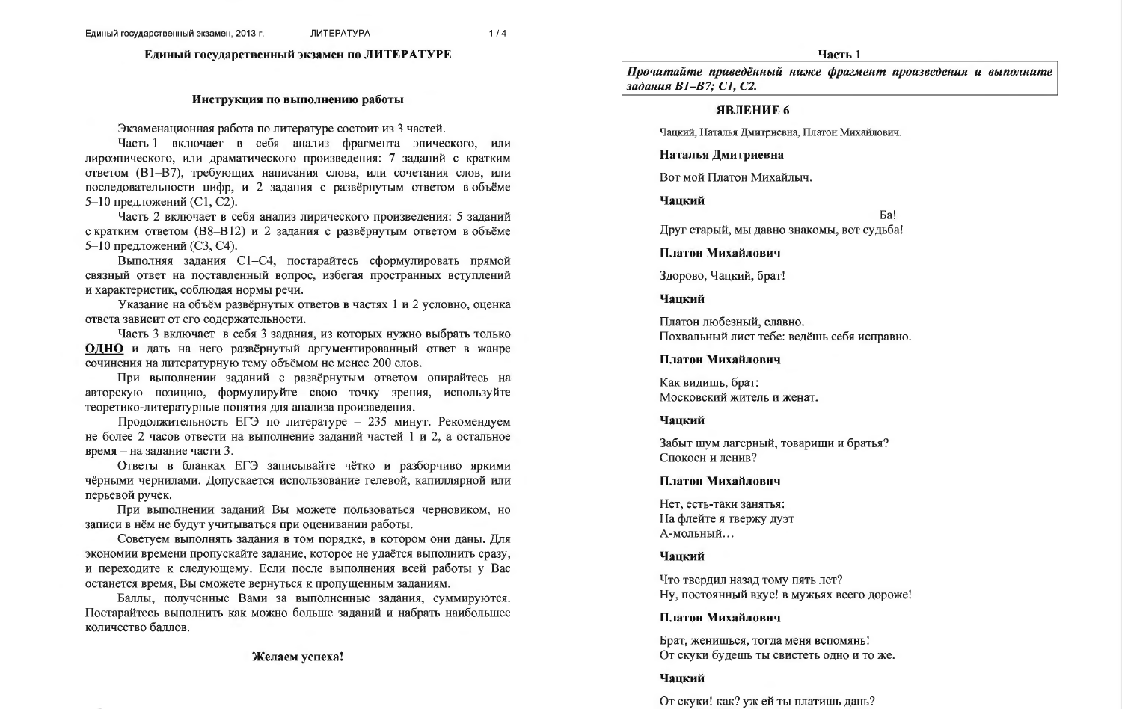ЛИТЕРАТУРА

 $1/4$ 

#### Инструкция по выполнению работы

Экзаменационная работа по литературе состоит из 3 частей.

Часть 1 включает в себя анализ фрагмента эпического, или лироэпического, или драматического произведения: 7 заданий с кратким ответом (B1-B7), требующих написания слова, или сочетания слов, или последовательности цифр, и 2 задания с развёрнутым ответом в объёме 5-10 предложений (С1, С2).

Часть 2 включает в себя анализ лирического произведения: 5 заданий с кратким ответом (В8-В12) и 2 задания с развёрнутым ответом в объёме 5-10 предложений (СЗ, С4).

Выполняя задания С1-С4, постарайтесь сформулировать прямой связный ответ на поставленный вопрос, избегая пространных вступлений и характеристик, соблюдая нормы речи.

Указание на объём развёрнутых ответов в частях 1 и 2 условно, оценка ответа зависит от его содержательности.

Часть 3 включает в себя 3 задания, из которых нужно выбрать только ОДНО и дать на него развёрнутый аргументированный ответ в жанре сочинения на литературную тему объёмом не менее 200 слов.

При выполнении заданий с развёрнутым ответом опирайтесь на авторскую позицию, формулируйте свою точку зрения, используйте теоретико-литературные понятия для анализа произведения.

Продолжительность ЕГЭ по литературе - 235 минут. Рекомендуем не более 2 часов отвести на выполнение заданий частей 1 и 2, а остальное время - на задание части 3.

Ответы в бланках ЕГЭ записывайте чётко и разборчиво яркими чёрными чернилами. Допускается использование гелевой, капиллярной или перьевой ручек.

При выполнении заданий Вы можете пользоваться черновиком, но записи в нём не будут учитываться при оценивании работы.

Советуем выполнять задания в том порядке, в котором они даны. Для экономии времени пропускайте задание, которое не удаётся выполнить сразу, и переходите к следующему. Если после выполнения всей работы у Вас останется время, Вы сможете вернуться к пропущенным заданиям.

Баллы, полученные Вами за выполненные задания, суммируются. Постарайтесь выполнить как можно больше заданий и набрать наибольшее количество баллов.

#### Желаем успеха!

Прочитайте приведённый ниже фрагмент произведения и выполните задания В1-В7: С1. С2.

# ЯВЛЕНИЕ 6

Чацкий, Наталья Дмитриевна, Платон Михайлович.

# Наталья Дмитриевна

Вот мой Платон Михайлыч.

## Чянкий

**Ба!** 

Друг старый, мы давно знакомы, вот судьба!

Платон Михайлович

Здорово, Чацкий, брат!

# Чашкий

Платон любезный, славно. Похвальный лист тебе: ведёшь себя исправно.

## Платон Михайловнч

Как видишь, брат: Московский житель и женат.

#### Чацкий

Забыт шум лагерный, товарищи и братья? Спокоен и ленив?

## Платон Михайловнч

Нет, есть-таки занятья: На флейте я твержу дуэт А-мольный...

# Чацкий

Что твердил назад тому пять лет? Ну, постоянный вкус! в мужьях всего дороже!

## Платон Михайловнч

Брат, женишься, тогда меня вспомянь! От скуки будешь ты свистеть одно и то же.

# Чашкий

От скуки! как? уж ей ты платишь дань?